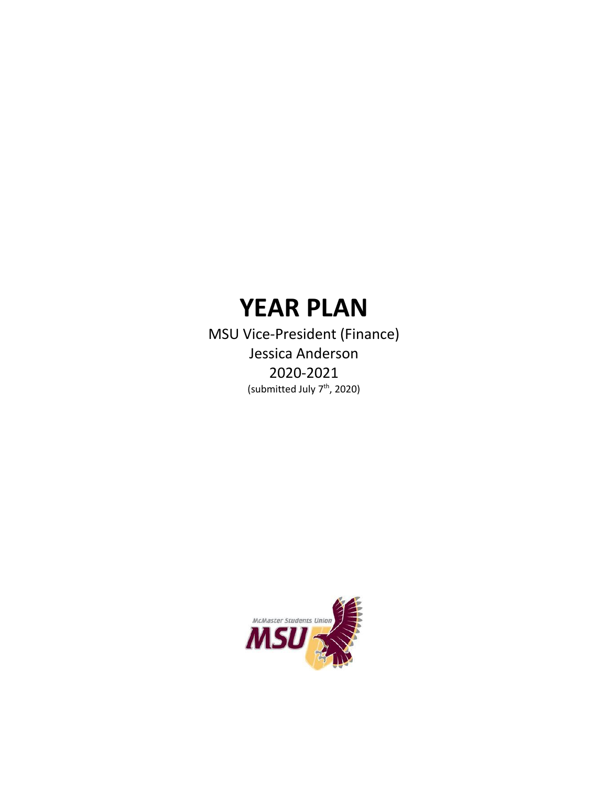# **YEAR PLAN**

MSU Vice-President (Finance) Jessica Anderson 2020-2021 (submitted July 7<sup>th</sup>, 2020)

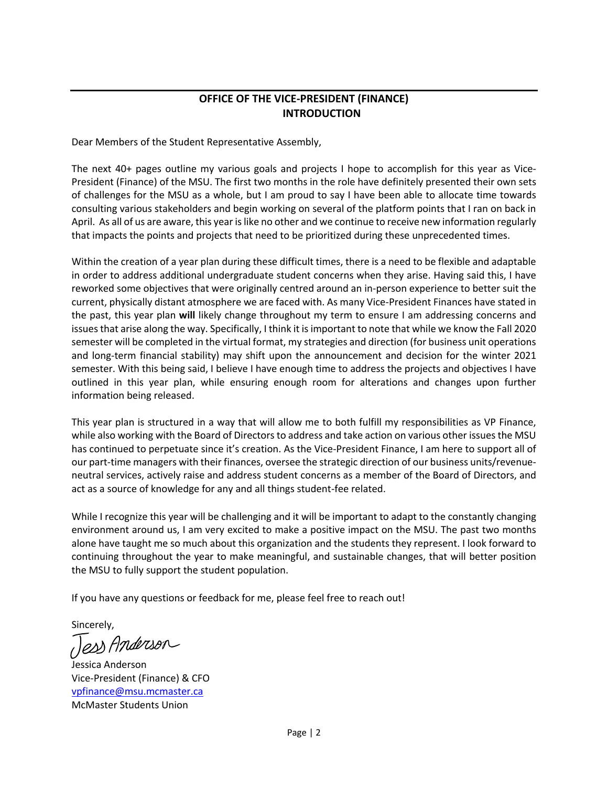## **OFFICE OF THE VICE-PRESIDENT (FINANCE) INTRODUCTION**

Dear Members of the Student Representative Assembly,

The next 40+ pages outline my various goals and projects I hope to accomplish for this year as Vice-President (Finance) of the MSU. The first two months in the role have definitely presented their own sets of challenges for the MSU as a whole, but I am proud to say I have been able to allocate time towards consulting various stakeholders and begin working on several of the platform points that I ran on back in April. As all of us are aware, this year is like no other and we continue to receive new information regularly that impacts the points and projects that need to be prioritized during these unprecedented times.

Within the creation of a year plan during these difficult times, there is a need to be flexible and adaptable in order to address additional undergraduate student concerns when they arise. Having said this, I have reworked some objectives that were originally centred around an in-person experience to better suit the current, physically distant atmosphere we are faced with. As many Vice-President Finances have stated in the past, this year plan **will** likely change throughout my term to ensure I am addressing concerns and issues that arise along the way. Specifically, I think it is important to note that while we know the Fall 2020 semester will be completed in the virtual format, my strategies and direction (for business unit operations and long-term financial stability) may shift upon the announcement and decision for the winter 2021 semester. With this being said, I believe I have enough time to address the projects and objectives I have outlined in this year plan, while ensuring enough room for alterations and changes upon further information being released.

This year plan is structured in a way that will allow me to both fulfill my responsibilities as VP Finance, while also working with the Board of Directors to address and take action on various other issues the MSU has continued to perpetuate since it's creation. As the Vice-President Finance, I am here to support all of our part-time managers with their finances, oversee the strategic direction of our business units/revenueneutral services, actively raise and address student concerns as a member of the Board of Directors, and act as a source of knowledge for any and all things student-fee related.

While I recognize this year will be challenging and it will be important to adapt to the constantly changing environment around us, I am very excited to make a positive impact on the MSU. The past two months alone have taught me so much about this organization and the students they represent. I look forward to continuing throughout the year to make meaningful, and sustainable changes, that will better position the MSU to fully support the student population.

If you have any questions or feedback for me, please feel free to reach out!

Sincerely,

Tess Anderson

Jessica Anderson Vice-President (Finance) & CFO vpfinance@msu.mcmaster.ca McMaster Students Union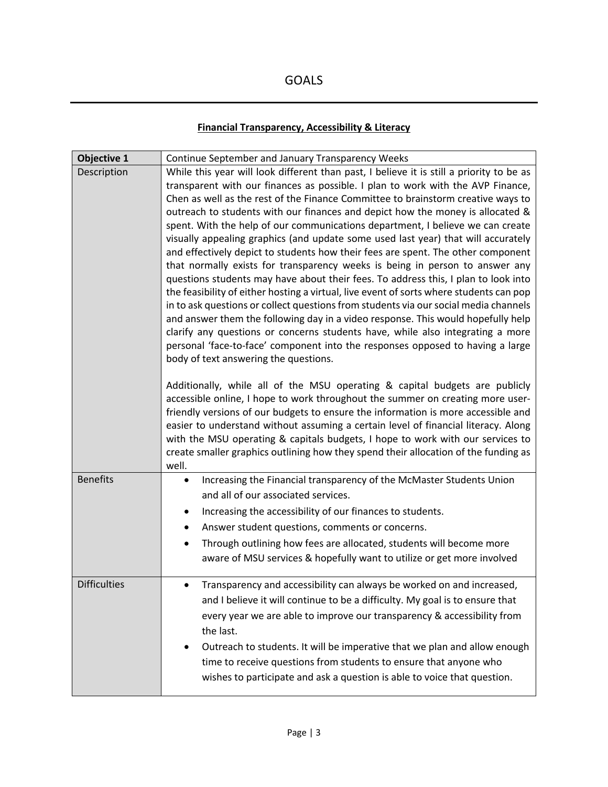# **Financial Transparency, Accessibility & Literacy**

| <b>Objective 1</b>  | Continue September and January Transparency Weeks                                                                                                                                                                                                                                                                                                                                                                                                                                                                                                                                                                                                                                                                                                                                                                                                                                                                                                                                                                                                                                                                                                                                                                                                                                                                                                                                                                                                                                                                            |
|---------------------|------------------------------------------------------------------------------------------------------------------------------------------------------------------------------------------------------------------------------------------------------------------------------------------------------------------------------------------------------------------------------------------------------------------------------------------------------------------------------------------------------------------------------------------------------------------------------------------------------------------------------------------------------------------------------------------------------------------------------------------------------------------------------------------------------------------------------------------------------------------------------------------------------------------------------------------------------------------------------------------------------------------------------------------------------------------------------------------------------------------------------------------------------------------------------------------------------------------------------------------------------------------------------------------------------------------------------------------------------------------------------------------------------------------------------------------------------------------------------------------------------------------------------|
| Description         | While this year will look different than past, I believe it is still a priority to be as<br>transparent with our finances as possible. I plan to work with the AVP Finance,<br>Chen as well as the rest of the Finance Committee to brainstorm creative ways to<br>outreach to students with our finances and depict how the money is allocated &<br>spent. With the help of our communications department, I believe we can create<br>visually appealing graphics (and update some used last year) that will accurately<br>and effectively depict to students how their fees are spent. The other component<br>that normally exists for transparency weeks is being in person to answer any<br>questions students may have about their fees. To address this, I plan to look into<br>the feasibility of either hosting a virtual, live event of sorts where students can pop<br>in to ask questions or collect questions from students via our social media channels<br>and answer them the following day in a video response. This would hopefully help<br>clarify any questions or concerns students have, while also integrating a more<br>personal 'face-to-face' component into the responses opposed to having a large<br>body of text answering the questions.<br>Additionally, while all of the MSU operating & capital budgets are publicly<br>accessible online, I hope to work throughout the summer on creating more user-<br>friendly versions of our budgets to ensure the information is more accessible and |
|                     | easier to understand without assuming a certain level of financial literacy. Along<br>with the MSU operating & capitals budgets, I hope to work with our services to<br>create smaller graphics outlining how they spend their allocation of the funding as<br>well.                                                                                                                                                                                                                                                                                                                                                                                                                                                                                                                                                                                                                                                                                                                                                                                                                                                                                                                                                                                                                                                                                                                                                                                                                                                         |
| <b>Benefits</b>     | Increasing the Financial transparency of the McMaster Students Union<br>٠<br>and all of our associated services.<br>Increasing the accessibility of our finances to students.<br>٠<br>Answer student questions, comments or concerns.<br>Through outlining how fees are allocated, students will become more<br>٠<br>aware of MSU services & hopefully want to utilize or get more involved                                                                                                                                                                                                                                                                                                                                                                                                                                                                                                                                                                                                                                                                                                                                                                                                                                                                                                                                                                                                                                                                                                                                  |
| <b>Difficulties</b> | Transparency and accessibility can always be worked on and increased,<br>$\bullet$<br>and I believe it will continue to be a difficulty. My goal is to ensure that<br>every year we are able to improve our transparency & accessibility from<br>the last.<br>Outreach to students. It will be imperative that we plan and allow enough<br>time to receive questions from students to ensure that anyone who<br>wishes to participate and ask a question is able to voice that question.                                                                                                                                                                                                                                                                                                                                                                                                                                                                                                                                                                                                                                                                                                                                                                                                                                                                                                                                                                                                                                     |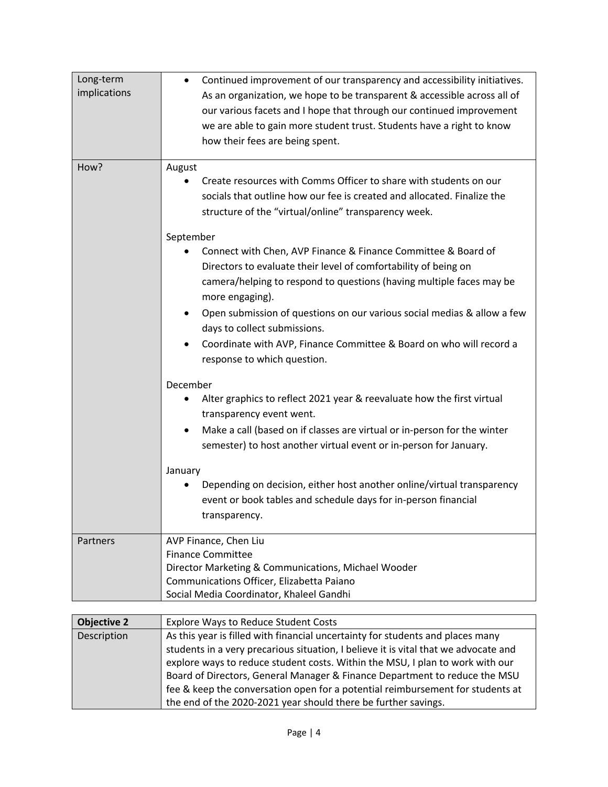| Long-term<br>implications | Continued improvement of our transparency and accessibility initiatives.<br>$\bullet$<br>As an organization, we hope to be transparent & accessible across all of<br>our various facets and I hope that through our continued improvement<br>we are able to gain more student trust. Students have a right to know<br>how their fees are being spent.                                                                                                     |
|---------------------------|-----------------------------------------------------------------------------------------------------------------------------------------------------------------------------------------------------------------------------------------------------------------------------------------------------------------------------------------------------------------------------------------------------------------------------------------------------------|
| How?                      | August<br>Create resources with Comms Officer to share with students on our<br>socials that outline how our fee is created and allocated. Finalize the<br>structure of the "virtual/online" transparency week.                                                                                                                                                                                                                                            |
|                           | September<br>Connect with Chen, AVP Finance & Finance Committee & Board of<br>Directors to evaluate their level of comfortability of being on<br>camera/helping to respond to questions (having multiple faces may be<br>more engaging).<br>Open submission of questions on our various social medias & allow a few<br>days to collect submissions.<br>Coordinate with AVP, Finance Committee & Board on who will record a<br>response to which question. |
|                           | December<br>Alter graphics to reflect 2021 year & reevaluate how the first virtual<br>٠<br>transparency event went.<br>Make a call (based on if classes are virtual or in-person for the winter<br>$\bullet$<br>semester) to host another virtual event or in-person for January.<br>January<br>Depending on decision, either host another online/virtual transparency<br>event or book tables and schedule days for in-person financial<br>transparency. |
| Partners                  | AVP Finance, Chen Liu<br><b>Finance Committee</b><br>Director Marketing & Communications, Michael Wooder<br>Communications Officer, Elizabetta Paiano<br>Social Media Coordinator, Khaleel Gandhi                                                                                                                                                                                                                                                         |

| <b>Objective 2</b> | <b>Explore Ways to Reduce Student Costs</b>                                         |
|--------------------|-------------------------------------------------------------------------------------|
| Description        | As this year is filled with financial uncertainty for students and places many      |
|                    | students in a very precarious situation, I believe it is vital that we advocate and |
|                    | explore ways to reduce student costs. Within the MSU, I plan to work with our       |
|                    | Board of Directors, General Manager & Finance Department to reduce the MSU          |
|                    | fee & keep the conversation open for a potential reimbursement for students at      |
|                    | the end of the 2020-2021 year should there be further savings.                      |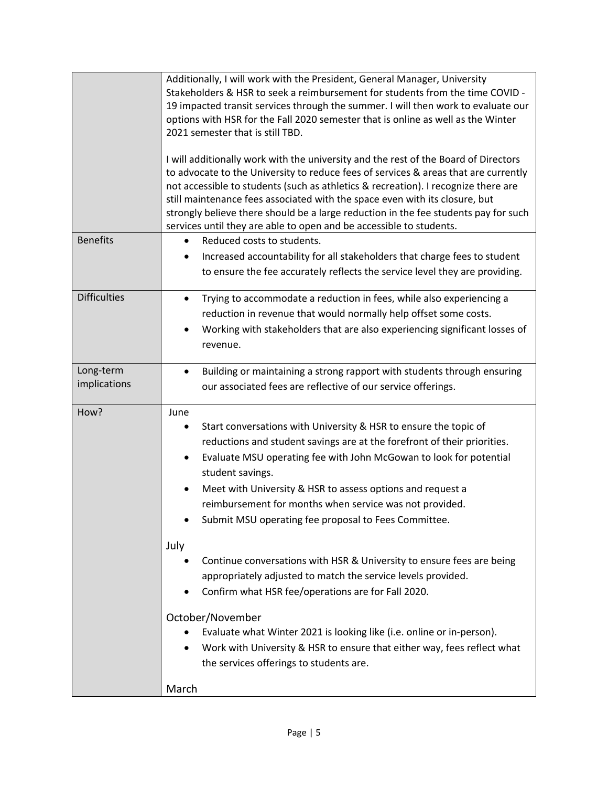|                           | Additionally, I will work with the President, General Manager, University<br>Stakeholders & HSR to seek a reimbursement for students from the time COVID -<br>19 impacted transit services through the summer. I will then work to evaluate our<br>options with HSR for the Fall 2020 semester that is online as well as the Winter<br>2021 semester that is still TBD.<br>I will additionally work with the university and the rest of the Board of Directors<br>to advocate to the University to reduce fees of services & areas that are currently<br>not accessible to students (such as athletics & recreation). I recognize there are<br>still maintenance fees associated with the space even with its closure, but<br>strongly believe there should be a large reduction in the fee students pay for such<br>services until they are able to open and be accessible to students. |
|---------------------------|------------------------------------------------------------------------------------------------------------------------------------------------------------------------------------------------------------------------------------------------------------------------------------------------------------------------------------------------------------------------------------------------------------------------------------------------------------------------------------------------------------------------------------------------------------------------------------------------------------------------------------------------------------------------------------------------------------------------------------------------------------------------------------------------------------------------------------------------------------------------------------------|
| <b>Benefits</b>           | Reduced costs to students.<br>$\bullet$<br>Increased accountability for all stakeholders that charge fees to student<br>to ensure the fee accurately reflects the service level they are providing.                                                                                                                                                                                                                                                                                                                                                                                                                                                                                                                                                                                                                                                                                      |
| <b>Difficulties</b>       | Trying to accommodate a reduction in fees, while also experiencing a<br>$\bullet$<br>reduction in revenue that would normally help offset some costs.<br>Working with stakeholders that are also experiencing significant losses of<br>$\bullet$<br>revenue.                                                                                                                                                                                                                                                                                                                                                                                                                                                                                                                                                                                                                             |
| Long-term<br>implications | Building or maintaining a strong rapport with students through ensuring<br>$\bullet$<br>our associated fees are reflective of our service offerings.                                                                                                                                                                                                                                                                                                                                                                                                                                                                                                                                                                                                                                                                                                                                     |
| How?                      | June<br>Start conversations with University & HSR to ensure the topic of<br>$\bullet$<br>reductions and student savings are at the forefront of their priorities.<br>Evaluate MSU operating fee with John McGowan to look for potential<br>$\bullet$<br>student savings.<br>Meet with University & HSR to assess options and request a<br>$\bullet$<br>reimbursement for months when service was not provided.<br>Submit MSU operating fee proposal to Fees Committee.<br>July<br>Continue conversations with HSR & University to ensure fees are being<br>appropriately adjusted to match the service levels provided.<br>Confirm what HSR fee/operations are for Fall 2020.<br>$\bullet$<br>October/November                                                                                                                                                                           |
|                           | Evaluate what Winter 2021 is looking like (i.e. online or in-person).<br>Work with University & HSR to ensure that either way, fees reflect what<br>$\bullet$<br>the services offerings to students are.<br>March                                                                                                                                                                                                                                                                                                                                                                                                                                                                                                                                                                                                                                                                        |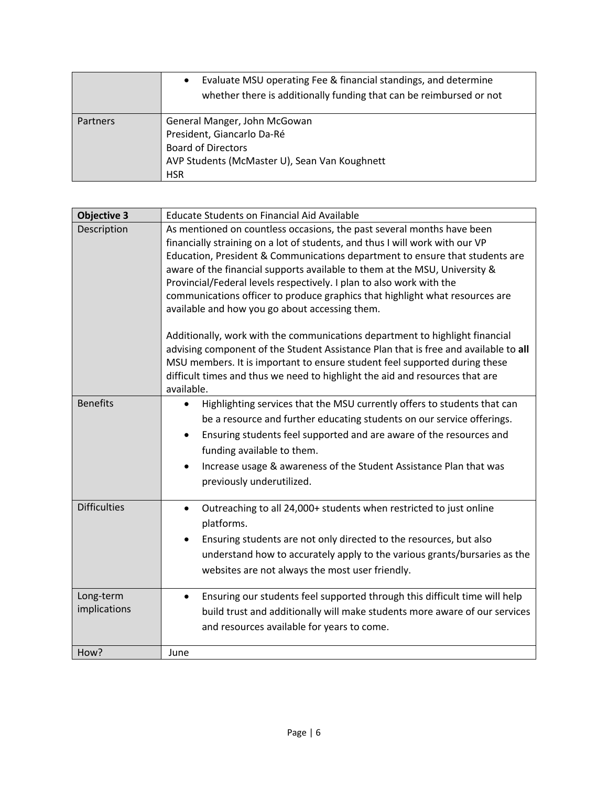|                 | Evaluate MSU operating Fee & financial standings, and determine<br>$\bullet$<br>whether there is additionally funding that can be reimbursed or not    |
|-----------------|--------------------------------------------------------------------------------------------------------------------------------------------------------|
| <b>Partners</b> | General Manger, John McGowan<br>President, Giancarlo Da-Ré<br><b>Board of Directors</b><br>AVP Students (McMaster U), Sean Van Koughnett<br><b>HSR</b> |

| <b>Objective 3</b>  | <b>Educate Students on Financial Aid Available</b>                                                                                                 |
|---------------------|----------------------------------------------------------------------------------------------------------------------------------------------------|
| Description         | As mentioned on countless occasions, the past several months have been                                                                             |
|                     | financially straining on a lot of students, and thus I will work with our VP                                                                       |
|                     | Education, President & Communications department to ensure that students are                                                                       |
|                     | aware of the financial supports available to them at the MSU, University &<br>Provincial/Federal levels respectively. I plan to also work with the |
|                     | communications officer to produce graphics that highlight what resources are                                                                       |
|                     | available and how you go about accessing them.                                                                                                     |
|                     |                                                                                                                                                    |
|                     | Additionally, work with the communications department to highlight financial                                                                       |
|                     | advising component of the Student Assistance Plan that is free and available to all                                                                |
|                     | MSU members. It is important to ensure student feel supported during these                                                                         |
|                     | difficult times and thus we need to highlight the aid and resources that are                                                                       |
|                     | available.                                                                                                                                         |
| <b>Benefits</b>     | Highlighting services that the MSU currently offers to students that can<br>$\bullet$                                                              |
|                     | be a resource and further educating students on our service offerings.                                                                             |
|                     | Ensuring students feel supported and are aware of the resources and<br>$\bullet$                                                                   |
|                     | funding available to them.                                                                                                                         |
|                     | Increase usage & awareness of the Student Assistance Plan that was<br>$\bullet$                                                                    |
|                     | previously underutilized.                                                                                                                          |
|                     |                                                                                                                                                    |
| <b>Difficulties</b> | Outreaching to all 24,000+ students when restricted to just online<br>$\bullet$                                                                    |
|                     | platforms.                                                                                                                                         |
|                     | Ensuring students are not only directed to the resources, but also<br>$\bullet$                                                                    |
|                     | understand how to accurately apply to the various grants/bursaries as the                                                                          |
|                     | websites are not always the most user friendly.                                                                                                    |
|                     |                                                                                                                                                    |
| Long-term           | Ensuring our students feel supported through this difficult time will help<br>$\bullet$                                                            |
| implications        | build trust and additionally will make students more aware of our services                                                                         |
|                     | and resources available for years to come.                                                                                                         |
|                     |                                                                                                                                                    |
| How?                | June                                                                                                                                               |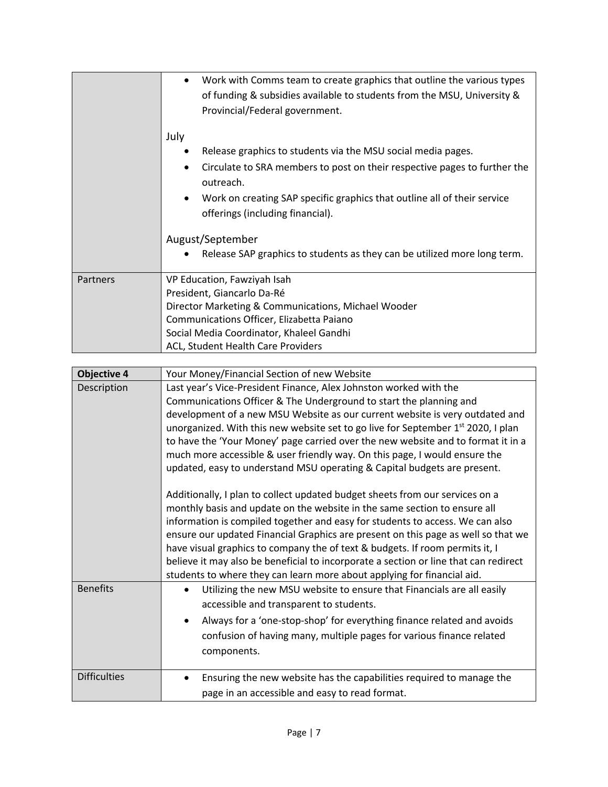|          | Work with Comms team to create graphics that outline the various types<br>$\bullet$<br>of funding & subsidies available to students from the MSU, University &<br>Provincial/Federal government.                                                                                                                                                                                                              |
|----------|---------------------------------------------------------------------------------------------------------------------------------------------------------------------------------------------------------------------------------------------------------------------------------------------------------------------------------------------------------------------------------------------------------------|
|          | July<br>Release graphics to students via the MSU social media pages.<br>٠<br>Circulate to SRA members to post on their respective pages to further the<br>$\bullet$<br>outreach.<br>Work on creating SAP specific graphics that outline all of their service<br>$\bullet$<br>offerings (including financial).<br>August/September<br>Release SAP graphics to students as they can be utilized more long term. |
| Partners | VP Education, Fawziyah Isah<br>President, Giancarlo Da-Ré<br>Director Marketing & Communications, Michael Wooder<br>Communications Officer, Elizabetta Paiano<br>Social Media Coordinator, Khaleel Gandhi<br>ACL, Student Health Care Providers                                                                                                                                                               |

| <b>Objective 4</b>  | Your Money/Financial Section of new Website                                                                                                                                                                                                                                                                                                                                                                                                                                                                                                                                        |
|---------------------|------------------------------------------------------------------------------------------------------------------------------------------------------------------------------------------------------------------------------------------------------------------------------------------------------------------------------------------------------------------------------------------------------------------------------------------------------------------------------------------------------------------------------------------------------------------------------------|
| Description         | Last year's Vice-President Finance, Alex Johnston worked with the<br>Communications Officer & The Underground to start the planning and<br>development of a new MSU Website as our current website is very outdated and<br>unorganized. With this new website set to go live for September 1 <sup>st</sup> 2020, I plan<br>to have the 'Your Money' page carried over the new website and to format it in a<br>much more accessible & user friendly way. On this page, I would ensure the<br>updated, easy to understand MSU operating & Capital budgets are present.              |
|                     | Additionally, I plan to collect updated budget sheets from our services on a<br>monthly basis and update on the website in the same section to ensure all<br>information is compiled together and easy for students to access. We can also<br>ensure our updated Financial Graphics are present on this page as well so that we<br>have visual graphics to company the of text & budgets. If room permits it, I<br>believe it may also be beneficial to incorporate a section or line that can redirect<br>students to where they can learn more about applying for financial aid. |
| <b>Benefits</b>     | Utilizing the new MSU website to ensure that Financials are all easily<br>$\bullet$<br>accessible and transparent to students.<br>Always for a 'one-stop-shop' for everything finance related and avoids<br>$\bullet$<br>confusion of having many, multiple pages for various finance related<br>components.                                                                                                                                                                                                                                                                       |
| <b>Difficulties</b> | Ensuring the new website has the capabilities required to manage the<br>$\bullet$<br>page in an accessible and easy to read format.                                                                                                                                                                                                                                                                                                                                                                                                                                                |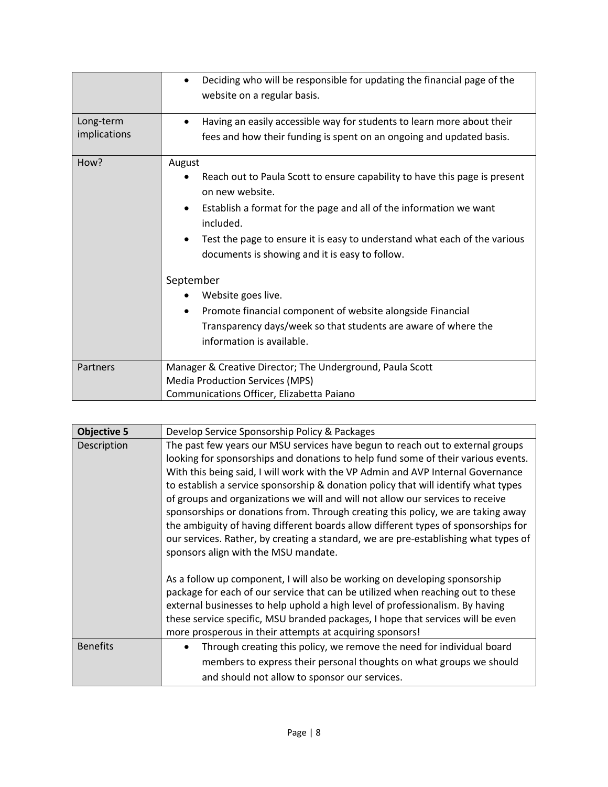|                           | Deciding who will be responsible for updating the financial page of the<br>$\bullet$<br>website on a regular basis.                                                                                                                                                                                                                                                                                                                                                                                                                                      |
|---------------------------|----------------------------------------------------------------------------------------------------------------------------------------------------------------------------------------------------------------------------------------------------------------------------------------------------------------------------------------------------------------------------------------------------------------------------------------------------------------------------------------------------------------------------------------------------------|
| Long-term<br>implications | Having an easily accessible way for students to learn more about their<br>$\bullet$<br>fees and how their funding is spent on an ongoing and updated basis.                                                                                                                                                                                                                                                                                                                                                                                              |
| How?                      | August<br>Reach out to Paula Scott to ensure capability to have this page is present<br>on new website.<br>Establish a format for the page and all of the information we want<br>٠<br>included.<br>Test the page to ensure it is easy to understand what each of the various<br>$\bullet$<br>documents is showing and it is easy to follow.<br>September<br>Website goes live.<br>Promote financial component of website alongside Financial<br>$\bullet$<br>Transparency days/week so that students are aware of where the<br>information is available. |
| Partners                  | Manager & Creative Director; The Underground, Paula Scott<br><b>Media Production Services (MPS)</b><br>Communications Officer, Elizabetta Paiano                                                                                                                                                                                                                                                                                                                                                                                                         |

| <b>Objective 5</b> | Develop Service Sponsorship Policy & Packages                                                                                                                                                                                                                                                                                                                                                                                                                                                                                                                                                                                                                                                                                                                                                                         |
|--------------------|-----------------------------------------------------------------------------------------------------------------------------------------------------------------------------------------------------------------------------------------------------------------------------------------------------------------------------------------------------------------------------------------------------------------------------------------------------------------------------------------------------------------------------------------------------------------------------------------------------------------------------------------------------------------------------------------------------------------------------------------------------------------------------------------------------------------------|
| Description        | The past few years our MSU services have begun to reach out to external groups<br>looking for sponsorships and donations to help fund some of their various events.<br>With this being said, I will work with the VP Admin and AVP Internal Governance<br>to establish a service sponsorship & donation policy that will identify what types<br>of groups and organizations we will and will not allow our services to receive<br>sponsorships or donations from. Through creating this policy, we are taking away<br>the ambiguity of having different boards allow different types of sponsorships for<br>our services. Rather, by creating a standard, we are pre-establishing what types of<br>sponsors align with the MSU mandate.<br>As a follow up component, I will also be working on developing sponsorship |
|                    | package for each of our service that can be utilized when reaching out to these<br>external businesses to help uphold a high level of professionalism. By having<br>these service specific, MSU branded packages, I hope that services will be even<br>more prosperous in their attempts at acquiring sponsors!                                                                                                                                                                                                                                                                                                                                                                                                                                                                                                       |
| <b>Benefits</b>    | Through creating this policy, we remove the need for individual board<br>$\bullet$<br>members to express their personal thoughts on what groups we should<br>and should not allow to sponsor our services.                                                                                                                                                                                                                                                                                                                                                                                                                                                                                                                                                                                                            |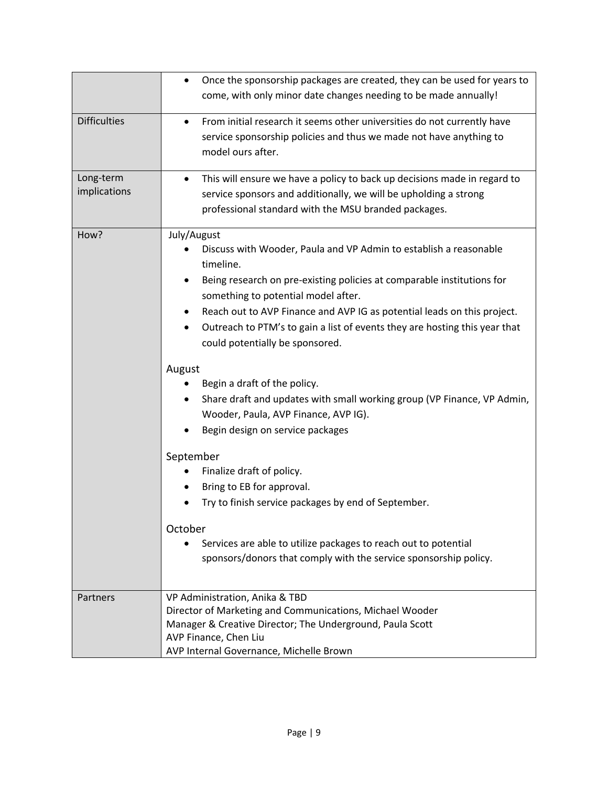|                           | Once the sponsorship packages are created, they can be used for years to<br>$\bullet$<br>come, with only minor date changes needing to be made annually!                                                                                                                                                                                                                                                                                                                                                                                                                                                                                                                                                                                                                                                                                                                                                                                          |
|---------------------------|---------------------------------------------------------------------------------------------------------------------------------------------------------------------------------------------------------------------------------------------------------------------------------------------------------------------------------------------------------------------------------------------------------------------------------------------------------------------------------------------------------------------------------------------------------------------------------------------------------------------------------------------------------------------------------------------------------------------------------------------------------------------------------------------------------------------------------------------------------------------------------------------------------------------------------------------------|
| <b>Difficulties</b>       | From initial research it seems other universities do not currently have<br>$\bullet$<br>service sponsorship policies and thus we made not have anything to<br>model ours after.                                                                                                                                                                                                                                                                                                                                                                                                                                                                                                                                                                                                                                                                                                                                                                   |
| Long-term<br>implications | This will ensure we have a policy to back up decisions made in regard to<br>$\bullet$<br>service sponsors and additionally, we will be upholding a strong<br>professional standard with the MSU branded packages.                                                                                                                                                                                                                                                                                                                                                                                                                                                                                                                                                                                                                                                                                                                                 |
| How?                      | July/August<br>Discuss with Wooder, Paula and VP Admin to establish a reasonable<br>timeline.<br>Being research on pre-existing policies at comparable institutions for<br>٠<br>something to potential model after.<br>Reach out to AVP Finance and AVP IG as potential leads on this project.<br>$\bullet$<br>Outreach to PTM's to gain a list of events they are hosting this year that<br>$\bullet$<br>could potentially be sponsored.<br>August<br>Begin a draft of the policy.<br>Share draft and updates with small working group (VP Finance, VP Admin,<br>Wooder, Paula, AVP Finance, AVP IG).<br>Begin design on service packages<br>September<br>Finalize draft of policy.<br>Bring to EB for approval.<br>٠<br>Try to finish service packages by end of September.<br>٠<br>October<br>Services are able to utilize packages to reach out to potential<br>$\bullet$<br>sponsors/donors that comply with the service sponsorship policy. |
| Partners                  | VP Administration, Anika & TBD<br>Director of Marketing and Communications, Michael Wooder<br>Manager & Creative Director; The Underground, Paula Scott<br>AVP Finance, Chen Liu<br>AVP Internal Governance, Michelle Brown                                                                                                                                                                                                                                                                                                                                                                                                                                                                                                                                                                                                                                                                                                                       |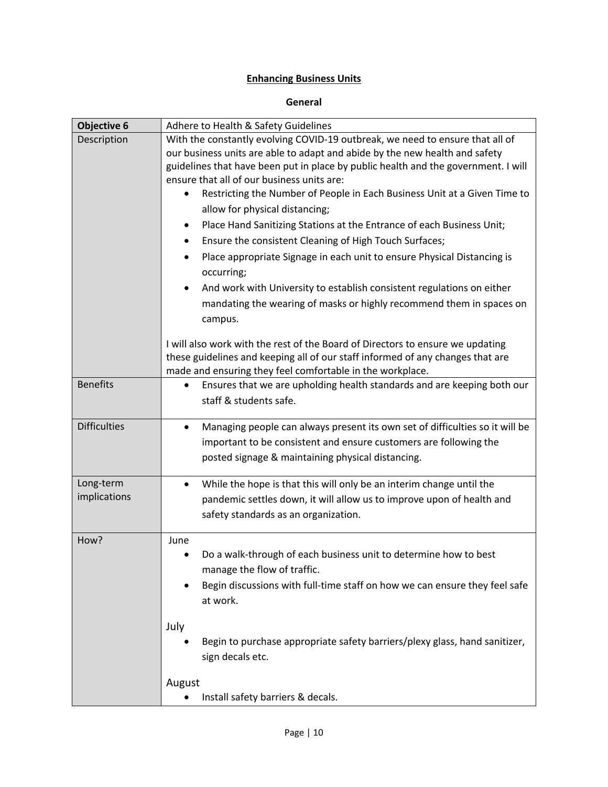# **Enhancing Business Units**

#### **General**

| <b>Objective 6</b>        | Adhere to Health & Safety Guidelines                                                      |
|---------------------------|-------------------------------------------------------------------------------------------|
| Description               | With the constantly evolving COVID-19 outbreak, we need to ensure that all of             |
|                           | our business units are able to adapt and abide by the new health and safety               |
|                           | guidelines that have been put in place by public health and the government. I will        |
|                           | ensure that all of our business units are:                                                |
|                           | Restricting the Number of People in Each Business Unit at a Given Time to<br>$\bullet$    |
|                           | allow for physical distancing;                                                            |
|                           | Place Hand Sanitizing Stations at the Entrance of each Business Unit;<br>٠                |
|                           | Ensure the consistent Cleaning of High Touch Surfaces;<br>$\bullet$                       |
|                           | Place appropriate Signage in each unit to ensure Physical Distancing is                   |
|                           | occurring;                                                                                |
|                           | And work with University to establish consistent regulations on either<br>$\bullet$       |
|                           | mandating the wearing of masks or highly recommend them in spaces on                      |
|                           | campus.                                                                                   |
|                           |                                                                                           |
|                           | I will also work with the rest of the Board of Directors to ensure we updating            |
|                           | these guidelines and keeping all of our staff informed of any changes that are            |
| <b>Benefits</b>           | made and ensuring they feel comfortable in the workplace.                                 |
|                           | Ensures that we are upholding health standards and are keeping both our<br>$\bullet$      |
|                           | staff & students safe.                                                                    |
| <b>Difficulties</b>       | Managing people can always present its own set of difficulties so it will be<br>$\bullet$ |
|                           | important to be consistent and ensure customers are following the                         |
|                           | posted signage & maintaining physical distancing.                                         |
|                           |                                                                                           |
| Long-term<br>implications | While the hope is that this will only be an interim change until the<br>٠                 |
|                           | pandemic settles down, it will allow us to improve upon of health and                     |
|                           | safety standards as an organization.                                                      |
| How?                      | June                                                                                      |
|                           | Do a walk-through of each business unit to determine how to best<br>$\bullet$             |
|                           | manage the flow of traffic.                                                               |
|                           | Begin discussions with full-time staff on how we can ensure they feel safe                |
|                           | at work.                                                                                  |
|                           |                                                                                           |
|                           | July                                                                                      |
|                           | Begin to purchase appropriate safety barriers/plexy glass, hand sanitizer,                |
|                           | sign decals etc.                                                                          |
|                           | August                                                                                    |
|                           | Install safety barriers & decals.                                                         |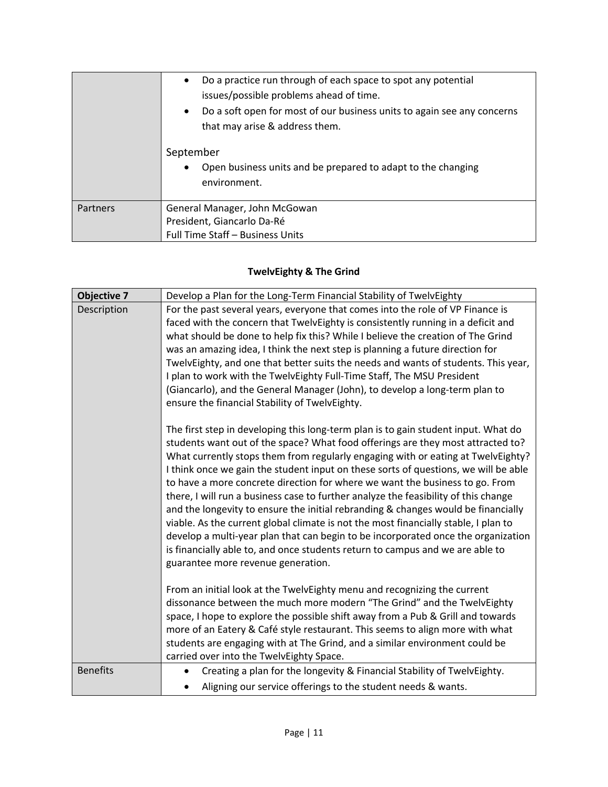|          | Do a practice run through of each space to spot any potential<br>$\bullet$<br>issues/possible problems ahead of time.<br>Do a soft open for most of our business units to again see any concerns<br>$\bullet$<br>that may arise & address them. |
|----------|-------------------------------------------------------------------------------------------------------------------------------------------------------------------------------------------------------------------------------------------------|
|          | September<br>Open business units and be prepared to adapt to the changing<br>environment.                                                                                                                                                       |
| Partners | General Manager, John McGowan                                                                                                                                                                                                                   |
|          | President, Giancarlo Da-Ré                                                                                                                                                                                                                      |
|          | Full Time Staff - Business Units                                                                                                                                                                                                                |

# **TwelvEighty & The Grind**

| <b>Objective 7</b> | Develop a Plan for the Long-Term Financial Stability of TwelvEighty                                                                                                                                                                                                                                                                                                                                                                                                                                                                                                                                                                                                                                                                                                                                                                                                                                             |
|--------------------|-----------------------------------------------------------------------------------------------------------------------------------------------------------------------------------------------------------------------------------------------------------------------------------------------------------------------------------------------------------------------------------------------------------------------------------------------------------------------------------------------------------------------------------------------------------------------------------------------------------------------------------------------------------------------------------------------------------------------------------------------------------------------------------------------------------------------------------------------------------------------------------------------------------------|
| Description        | For the past several years, everyone that comes into the role of VP Finance is<br>faced with the concern that TwelvEighty is consistently running in a deficit and<br>what should be done to help fix this? While I believe the creation of The Grind<br>was an amazing idea, I think the next step is planning a future direction for<br>TwelvEighty, and one that better suits the needs and wants of students. This year,<br>I plan to work with the TwelvEighty Full-Time Staff, The MSU President<br>(Giancarlo), and the General Manager (John), to develop a long-term plan to<br>ensure the financial Stability of TwelvEighty.                                                                                                                                                                                                                                                                         |
|                    | The first step in developing this long-term plan is to gain student input. What do<br>students want out of the space? What food offerings are they most attracted to?<br>What currently stops them from regularly engaging with or eating at TwelvEighty?<br>I think once we gain the student input on these sorts of questions, we will be able<br>to have a more concrete direction for where we want the business to go. From<br>there, I will run a business case to further analyze the feasibility of this change<br>and the longevity to ensure the initial rebranding & changes would be financially<br>viable. As the current global climate is not the most financially stable, I plan to<br>develop a multi-year plan that can begin to be incorporated once the organization<br>is financially able to, and once students return to campus and we are able to<br>guarantee more revenue generation. |
|                    | From an initial look at the TwelvEighty menu and recognizing the current<br>dissonance between the much more modern "The Grind" and the TwelvEighty<br>space, I hope to explore the possible shift away from a Pub & Grill and towards<br>more of an Eatery & Café style restaurant. This seems to align more with what<br>students are engaging with at The Grind, and a similar environment could be<br>carried over into the TwelvEighty Space.                                                                                                                                                                                                                                                                                                                                                                                                                                                              |
| <b>Benefits</b>    | Creating a plan for the longevity & Financial Stability of TwelvEighty.<br>$\bullet$<br>Aligning our service offerings to the student needs & wants.                                                                                                                                                                                                                                                                                                                                                                                                                                                                                                                                                                                                                                                                                                                                                            |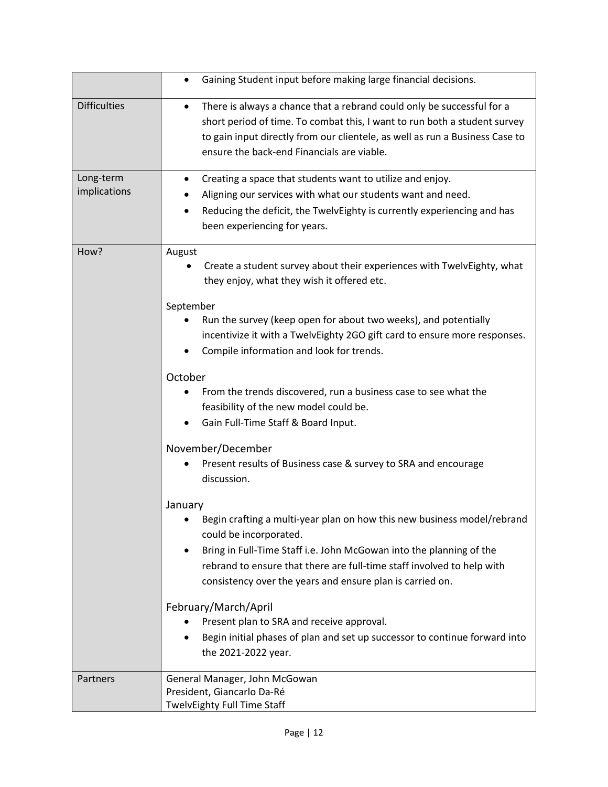|                           | Gaining Student input before making large financial decisions.<br>$\bullet$                                                                                                                                                                                                                                                                                                                                                                                                                                                                                                                                                                                                                                                                                                                                                                                                                                                                                                                                                                                                                                               |
|---------------------------|---------------------------------------------------------------------------------------------------------------------------------------------------------------------------------------------------------------------------------------------------------------------------------------------------------------------------------------------------------------------------------------------------------------------------------------------------------------------------------------------------------------------------------------------------------------------------------------------------------------------------------------------------------------------------------------------------------------------------------------------------------------------------------------------------------------------------------------------------------------------------------------------------------------------------------------------------------------------------------------------------------------------------------------------------------------------------------------------------------------------------|
| <b>Difficulties</b>       | There is always a chance that a rebrand could only be successful for a<br>٠<br>short period of time. To combat this, I want to run both a student survey<br>to gain input directly from our clientele, as well as run a Business Case to<br>ensure the back-end Financials are viable.                                                                                                                                                                                                                                                                                                                                                                                                                                                                                                                                                                                                                                                                                                                                                                                                                                    |
| Long-term<br>implications | Creating a space that students want to utilize and enjoy.<br>٠<br>Aligning our services with what our students want and need.<br>Reducing the deficit, the TwelvEighty is currently experiencing and has<br>been experiencing for years.                                                                                                                                                                                                                                                                                                                                                                                                                                                                                                                                                                                                                                                                                                                                                                                                                                                                                  |
| How?                      | August<br>Create a student survey about their experiences with TwelvEighty, what<br>they enjoy, what they wish it offered etc.<br>September<br>Run the survey (keep open for about two weeks), and potentially<br>incentivize it with a TwelvEighty 2GO gift card to ensure more responses.<br>Compile information and look for trends.<br>October<br>From the trends discovered, run a business case to see what the<br>feasibility of the new model could be.<br>Gain Full-Time Staff & Board Input.<br>November/December<br>Present results of Business case & survey to SRA and encourage<br>discussion.<br>January<br>Begin crafting a multi-year plan on how this new business model/rebrand<br>could be incorporated.<br>Bring in Full-Time Staff i.e. John McGowan into the planning of the<br>٠<br>rebrand to ensure that there are full-time staff involved to help with<br>consistency over the years and ensure plan is carried on.<br>February/March/April<br>Present plan to SRA and receive approval.<br>Begin initial phases of plan and set up successor to continue forward into<br>the 2021-2022 year. |
| Partners                  | General Manager, John McGowan<br>President, Giancarlo Da-Ré<br>TwelvEighty Full Time Staff                                                                                                                                                                                                                                                                                                                                                                                                                                                                                                                                                                                                                                                                                                                                                                                                                                                                                                                                                                                                                                |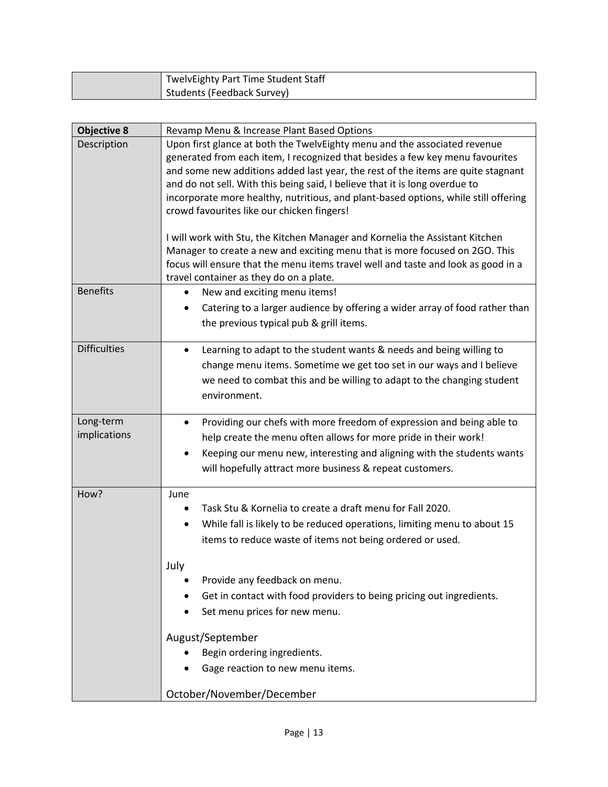| TwelvEighty Part Time Student Staff |
|-------------------------------------|
| Students (Feedback Survey)          |

| <b>Objective 8</b>        | Revamp Menu & Increase Plant Based Options                                                                                                                         |
|---------------------------|--------------------------------------------------------------------------------------------------------------------------------------------------------------------|
| Description               | Upon first glance at both the TwelvEighty menu and the associated revenue                                                                                          |
|                           | generated from each item, I recognized that besides a few key menu favourites                                                                                      |
|                           | and some new additions added last year, the rest of the items are quite stagnant                                                                                   |
|                           | and do not sell. With this being said, I believe that it is long overdue to<br>incorporate more healthy, nutritious, and plant-based options, while still offering |
|                           | crowd favourites like our chicken fingers!                                                                                                                         |
|                           |                                                                                                                                                                    |
|                           | I will work with Stu, the Kitchen Manager and Kornelia the Assistant Kitchen                                                                                       |
|                           | Manager to create a new and exciting menu that is more focused on 2GO. This                                                                                        |
|                           | focus will ensure that the menu items travel well and taste and look as good in a                                                                                  |
| <b>Benefits</b>           | travel container as they do on a plate.<br>New and exciting menu items!<br>$\bullet$                                                                               |
|                           | Catering to a larger audience by offering a wider array of food rather than                                                                                        |
|                           | the previous typical pub & grill items.                                                                                                                            |
|                           |                                                                                                                                                                    |
| <b>Difficulties</b>       | Learning to adapt to the student wants & needs and being willing to<br>$\bullet$                                                                                   |
|                           | change menu items. Sometime we get too set in our ways and I believe                                                                                               |
|                           | we need to combat this and be willing to adapt to the changing student                                                                                             |
|                           | environment.                                                                                                                                                       |
|                           |                                                                                                                                                                    |
| Long-term<br>implications | Providing our chefs with more freedom of expression and being able to<br>٠                                                                                         |
|                           | help create the menu often allows for more pride in their work!                                                                                                    |
|                           | Keeping our menu new, interesting and aligning with the students wants<br>$\bullet$                                                                                |
|                           | will hopefully attract more business & repeat customers.                                                                                                           |
| How?                      | June                                                                                                                                                               |
|                           | Task Stu & Kornelia to create a draft menu for Fall 2020.                                                                                                          |
|                           | While fall is likely to be reduced operations, limiting menu to about 15<br>$\bullet$                                                                              |
|                           | items to reduce waste of items not being ordered or used.                                                                                                          |
|                           |                                                                                                                                                                    |
|                           | July<br>Provide any feedback on menu.                                                                                                                              |
|                           | Get in contact with food providers to being pricing out ingredients.                                                                                               |
|                           | Set menu prices for new menu.                                                                                                                                      |
|                           |                                                                                                                                                                    |
|                           | August/September                                                                                                                                                   |
|                           | Begin ordering ingredients.                                                                                                                                        |
|                           | Gage reaction to new menu items.                                                                                                                                   |
|                           |                                                                                                                                                                    |
|                           | October/November/December                                                                                                                                          |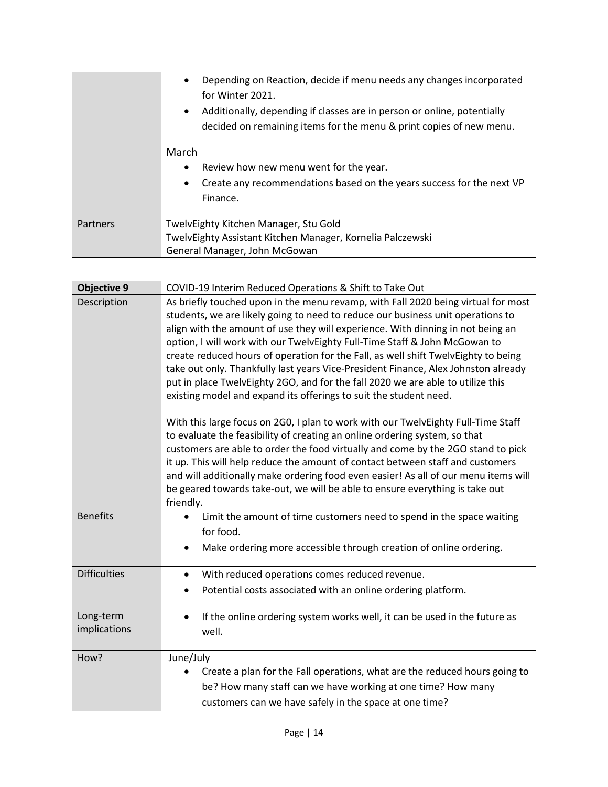|          | Depending on Reaction, decide if menu needs any changes incorporated<br>$\bullet$<br>for Winter 2021.<br>Additionally, depending if classes are in person or online, potentially<br>$\bullet$<br>decided on remaining items for the menu & print copies of new menu. |
|----------|----------------------------------------------------------------------------------------------------------------------------------------------------------------------------------------------------------------------------------------------------------------------|
|          | March<br>Review how new menu went for the year.<br>٠<br>Create any recommendations based on the years success for the next VP<br>$\bullet$<br>Finance.                                                                                                               |
| Partners | TwelvEighty Kitchen Manager, Stu Gold<br>TwelvEighty Assistant Kitchen Manager, Kornelia Palczewski<br>General Manager, John McGowan                                                                                                                                 |

| <b>Objective 9</b>        | COVID-19 Interim Reduced Operations & Shift to Take Out                                                                                                                                                                                                                                                                                                                                                                                                                                                                                                                                                                                                                   |
|---------------------------|---------------------------------------------------------------------------------------------------------------------------------------------------------------------------------------------------------------------------------------------------------------------------------------------------------------------------------------------------------------------------------------------------------------------------------------------------------------------------------------------------------------------------------------------------------------------------------------------------------------------------------------------------------------------------|
| Description               | As briefly touched upon in the menu revamp, with Fall 2020 being virtual for most<br>students, we are likely going to need to reduce our business unit operations to<br>align with the amount of use they will experience. With dinning in not being an<br>option, I will work with our TwelvEighty Full-Time Staff & John McGowan to<br>create reduced hours of operation for the Fall, as well shift TwelvEighty to being<br>take out only. Thankfully last years Vice-President Finance, Alex Johnston already<br>put in place TwelvEighty 2GO, and for the fall 2020 we are able to utilize this<br>existing model and expand its offerings to suit the student need. |
|                           | With this large focus on 2G0, I plan to work with our TwelvEighty Full-Time Staff<br>to evaluate the feasibility of creating an online ordering system, so that<br>customers are able to order the food virtually and come by the 2GO stand to pick<br>it up. This will help reduce the amount of contact between staff and customers<br>and will additionally make ordering food even easier! As all of our menu items will<br>be geared towards take-out, we will be able to ensure everything is take out<br>friendly.                                                                                                                                                 |
| <b>Benefits</b>           | Limit the amount of time customers need to spend in the space waiting<br>$\bullet$<br>for food.<br>Make ordering more accessible through creation of online ordering.                                                                                                                                                                                                                                                                                                                                                                                                                                                                                                     |
| <b>Difficulties</b>       | With reduced operations comes reduced revenue.<br>$\bullet$<br>Potential costs associated with an online ordering platform.                                                                                                                                                                                                                                                                                                                                                                                                                                                                                                                                               |
| Long-term<br>implications | If the online ordering system works well, it can be used in the future as<br>$\bullet$<br>well.                                                                                                                                                                                                                                                                                                                                                                                                                                                                                                                                                                           |
| How?                      | June/July<br>Create a plan for the Fall operations, what are the reduced hours going to<br>be? How many staff can we have working at one time? How many<br>customers can we have safely in the space at one time?                                                                                                                                                                                                                                                                                                                                                                                                                                                         |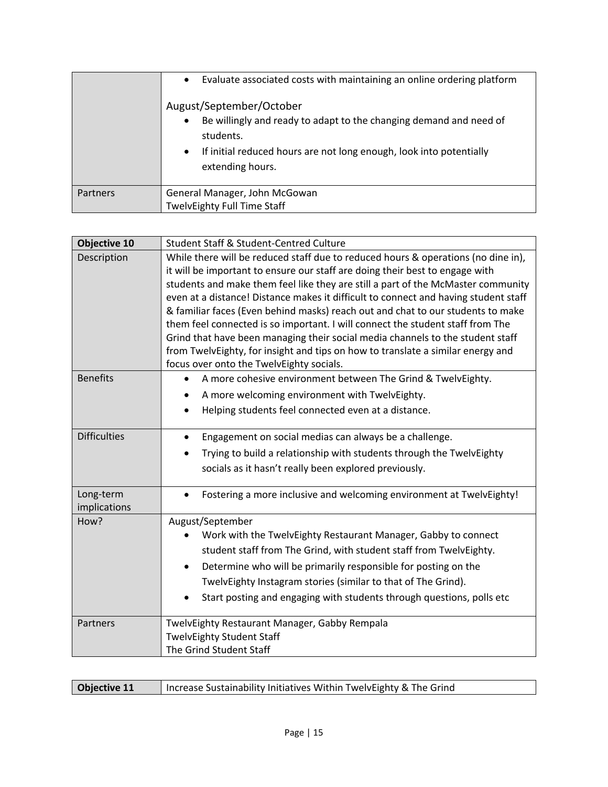|                 | Evaluate associated costs with maintaining an online ordering platform<br>$\bullet$<br>August/September/October<br>Be willingly and ready to adapt to the changing demand and need of<br>$\bullet$<br>students.<br>If initial reduced hours are not long enough, look into potentially<br>$\bullet$<br>extending hours. |
|-----------------|-------------------------------------------------------------------------------------------------------------------------------------------------------------------------------------------------------------------------------------------------------------------------------------------------------------------------|
| <b>Partners</b> | General Manager, John McGowan<br>TwelvEighty Full Time Staff                                                                                                                                                                                                                                                            |

| <b>Objective 10</b>       | <b>Student Staff &amp; Student-Centred Culture</b>                                                                                                                                                                                                                                                                                                                                                                              |
|---------------------------|---------------------------------------------------------------------------------------------------------------------------------------------------------------------------------------------------------------------------------------------------------------------------------------------------------------------------------------------------------------------------------------------------------------------------------|
| Description               | While there will be reduced staff due to reduced hours & operations (no dine in),<br>it will be important to ensure our staff are doing their best to engage with<br>students and make them feel like they are still a part of the McMaster community<br>even at a distance! Distance makes it difficult to connect and having student staff<br>& familiar faces (Even behind masks) reach out and chat to our students to make |
|                           | them feel connected is so important. I will connect the student staff from The<br>Grind that have been managing their social media channels to the student staff<br>from TwelvEighty, for insight and tips on how to translate a similar energy and<br>focus over onto the TwelvEighty socials.                                                                                                                                 |
| <b>Benefits</b>           | A more cohesive environment between The Grind & TwelvEighty.<br>A more welcoming environment with TwelvEighty.<br>Helping students feel connected even at a distance.<br>$\bullet$                                                                                                                                                                                                                                              |
| <b>Difficulties</b>       | Engagement on social medias can always be a challenge.<br>$\bullet$<br>Trying to build a relationship with students through the TwelvEighty<br>$\bullet$<br>socials as it hasn't really been explored previously.                                                                                                                                                                                                               |
| Long-term<br>implications | Fostering a more inclusive and welcoming environment at TwelvEighty!<br>$\bullet$                                                                                                                                                                                                                                                                                                                                               |
| How?                      | August/September<br>Work with the TwelvEighty Restaurant Manager, Gabby to connect<br>student staff from The Grind, with student staff from TwelvEighty.<br>Determine who will be primarily responsible for posting on the<br>$\bullet$<br>TwelvEighty Instagram stories (similar to that of The Grind).<br>Start posting and engaging with students through questions, polls etc                                               |
| Partners                  | TwelvEighty Restaurant Manager, Gabby Rempala<br>TwelvEighty Student Staff<br>The Grind Student Staff                                                                                                                                                                                                                                                                                                                           |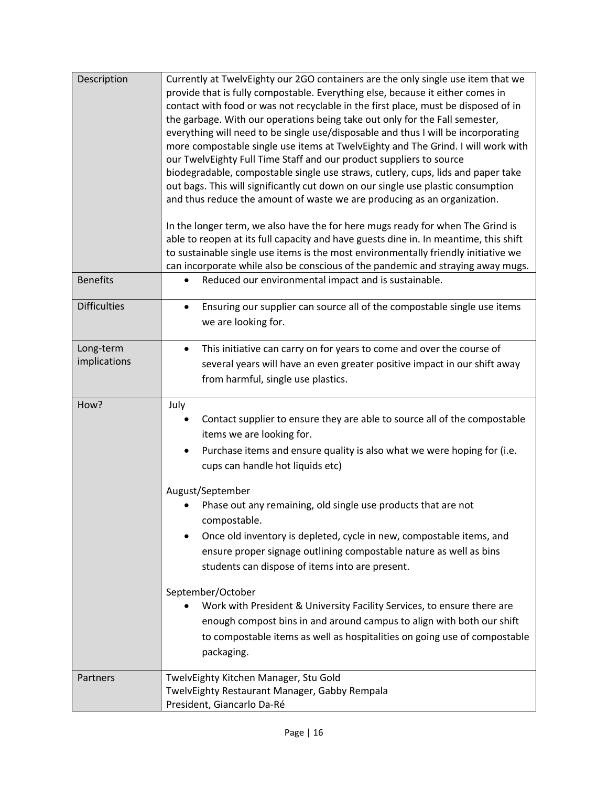| Description               | Currently at TwelvEighty our 2GO containers are the only single use item that we<br>provide that is fully compostable. Everything else, because it either comes in<br>contact with food or was not recyclable in the first place, must be disposed of in<br>the garbage. With our operations being take out only for the Fall semester,<br>everything will need to be single use/disposable and thus I will be incorporating<br>more compostable single use items at TwelvEighty and The Grind. I will work with<br>our TwelvEighty Full Time Staff and our product suppliers to source<br>biodegradable, compostable single use straws, cutlery, cups, lids and paper take<br>out bags. This will significantly cut down on our single use plastic consumption<br>and thus reduce the amount of waste we are producing as an organization.<br>In the longer term, we also have the for here mugs ready for when The Grind is<br>able to reopen at its full capacity and have guests dine in. In meantime, this shift<br>to sustainable single use items is the most environmentally friendly initiative we<br>can incorporate while also be conscious of the pandemic and straying away mugs. |
|---------------------------|------------------------------------------------------------------------------------------------------------------------------------------------------------------------------------------------------------------------------------------------------------------------------------------------------------------------------------------------------------------------------------------------------------------------------------------------------------------------------------------------------------------------------------------------------------------------------------------------------------------------------------------------------------------------------------------------------------------------------------------------------------------------------------------------------------------------------------------------------------------------------------------------------------------------------------------------------------------------------------------------------------------------------------------------------------------------------------------------------------------------------------------------------------------------------------------------|
| <b>Benefits</b>           | Reduced our environmental impact and is sustainable.<br>٠                                                                                                                                                                                                                                                                                                                                                                                                                                                                                                                                                                                                                                                                                                                                                                                                                                                                                                                                                                                                                                                                                                                                      |
| <b>Difficulties</b>       | Ensuring our supplier can source all of the compostable single use items<br>$\bullet$<br>we are looking for.                                                                                                                                                                                                                                                                                                                                                                                                                                                                                                                                                                                                                                                                                                                                                                                                                                                                                                                                                                                                                                                                                   |
| Long-term<br>implications | This initiative can carry on for years to come and over the course of<br>$\bullet$<br>several years will have an even greater positive impact in our shift away<br>from harmful, single use plastics.                                                                                                                                                                                                                                                                                                                                                                                                                                                                                                                                                                                                                                                                                                                                                                                                                                                                                                                                                                                          |
| How?                      | July<br>Contact supplier to ensure they are able to source all of the compostable<br>items we are looking for.<br>Purchase items and ensure quality is also what we were hoping for (i.e.<br>$\bullet$<br>cups can handle hot liquids etc)<br>August/September<br>Phase out any remaining, old single use products that are not<br>compostable.<br>Once old inventory is depleted, cycle in new, compostable items, and<br>ensure proper signage outlining compostable nature as well as bins<br>students can dispose of items into are present.<br>September/October<br>Work with President & University Facility Services, to ensure there are<br>enough compost bins in and around campus to align with both our shift<br>to compostable items as well as hospitalities on going use of compostable<br>packaging.                                                                                                                                                                                                                                                                                                                                                                           |
| Partners                  | TwelvEighty Kitchen Manager, Stu Gold<br>TwelvEighty Restaurant Manager, Gabby Rempala<br>President, Giancarlo Da-Ré                                                                                                                                                                                                                                                                                                                                                                                                                                                                                                                                                                                                                                                                                                                                                                                                                                                                                                                                                                                                                                                                           |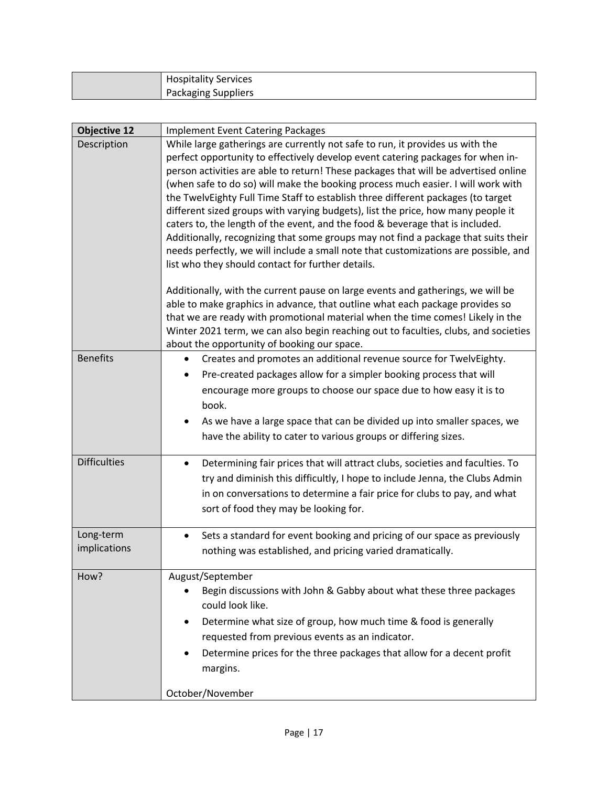| <b>Hospitality Services</b> |
|-----------------------------|
| <b>Packaging Suppliers</b>  |

| <b>Objective 12</b> | <b>Implement Event Catering Packages</b>                                                                                                                             |
|---------------------|----------------------------------------------------------------------------------------------------------------------------------------------------------------------|
| Description         | While large gatherings are currently not safe to run, it provides us with the                                                                                        |
|                     | perfect opportunity to effectively develop event catering packages for when in-                                                                                      |
|                     | person activities are able to return! These packages that will be advertised online                                                                                  |
|                     | (when safe to do so) will make the booking process much easier. I will work with<br>the TwelvEighty Full Time Staff to establish three different packages (to target |
|                     | different sized groups with varying budgets), list the price, how many people it                                                                                     |
|                     | caters to, the length of the event, and the food & beverage that is included.                                                                                        |
|                     | Additionally, recognizing that some groups may not find a package that suits their                                                                                   |
|                     | needs perfectly, we will include a small note that customizations are possible, and                                                                                  |
|                     | list who they should contact for further details.                                                                                                                    |
|                     | Additionally, with the current pause on large events and gatherings, we will be                                                                                      |
|                     | able to make graphics in advance, that outline what each package provides so                                                                                         |
|                     | that we are ready with promotional material when the time comes! Likely in the                                                                                       |
|                     | Winter 2021 term, we can also begin reaching out to faculties, clubs, and societies                                                                                  |
| <b>Benefits</b>     | about the opportunity of booking our space.<br>Creates and promotes an additional revenue source for TwelvEighty.                                                    |
|                     | Pre-created packages allow for a simpler booking process that will                                                                                                   |
|                     | encourage more groups to choose our space due to how easy it is to                                                                                                   |
|                     | book.                                                                                                                                                                |
|                     | As we have a large space that can be divided up into smaller spaces, we                                                                                              |
|                     | have the ability to cater to various groups or differing sizes.                                                                                                      |
|                     |                                                                                                                                                                      |
| <b>Difficulties</b> | Determining fair prices that will attract clubs, societies and faculties. To<br>$\bullet$                                                                            |
|                     | try and diminish this difficultly, I hope to include Jenna, the Clubs Admin                                                                                          |
|                     | in on conversations to determine a fair price for clubs to pay, and what                                                                                             |
|                     | sort of food they may be looking for.                                                                                                                                |
| Long-term           | Sets a standard for event booking and pricing of our space as previously<br>$\bullet$                                                                                |
| implications        | nothing was established, and pricing varied dramatically.                                                                                                            |
| How?                | August/September                                                                                                                                                     |
|                     | Begin discussions with John & Gabby about what these three packages<br>٠                                                                                             |
|                     | could look like.                                                                                                                                                     |
|                     | Determine what size of group, how much time & food is generally<br>$\bullet$                                                                                         |
|                     | requested from previous events as an indicator.                                                                                                                      |
|                     | Determine prices for the three packages that allow for a decent profit                                                                                               |
|                     | margins.                                                                                                                                                             |
|                     | October/November                                                                                                                                                     |
|                     |                                                                                                                                                                      |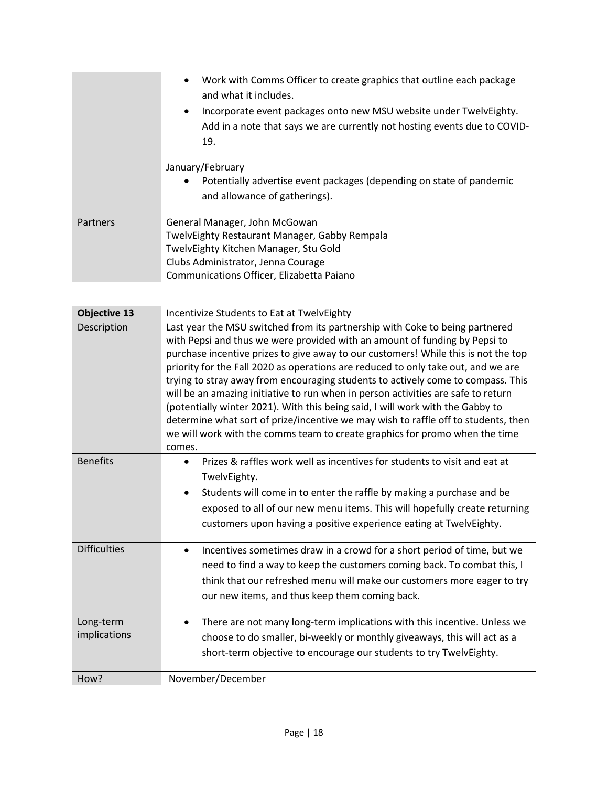|          | Work with Comms Officer to create graphics that outline each package<br>$\bullet$<br>and what it includes.<br>Incorporate event packages onto new MSU website under TwelvEighty.<br>$\bullet$<br>Add in a note that says we are currently not hosting events due to COVID-<br>19. |
|----------|-----------------------------------------------------------------------------------------------------------------------------------------------------------------------------------------------------------------------------------------------------------------------------------|
|          | January/February<br>Potentially advertise event packages (depending on state of pandemic<br>and allowance of gatherings).                                                                                                                                                         |
| Partners | General Manager, John McGowan                                                                                                                                                                                                                                                     |
|          | TwelvEighty Restaurant Manager, Gabby Rempala                                                                                                                                                                                                                                     |
|          | TwelvEighty Kitchen Manager, Stu Gold                                                                                                                                                                                                                                             |
|          | Clubs Administrator, Jenna Courage                                                                                                                                                                                                                                                |
|          | Communications Officer, Elizabetta Paiano                                                                                                                                                                                                                                         |

| <b>Objective 13</b>       | Incentivize Students to Eat at TwelvEighty                                                                                                                                                                                                                                                                                                                                                                                                                                                                                                                                                                                                                                                                                                                                      |
|---------------------------|---------------------------------------------------------------------------------------------------------------------------------------------------------------------------------------------------------------------------------------------------------------------------------------------------------------------------------------------------------------------------------------------------------------------------------------------------------------------------------------------------------------------------------------------------------------------------------------------------------------------------------------------------------------------------------------------------------------------------------------------------------------------------------|
| Description               | Last year the MSU switched from its partnership with Coke to being partnered<br>with Pepsi and thus we were provided with an amount of funding by Pepsi to<br>purchase incentive prizes to give away to our customers! While this is not the top<br>priority for the Fall 2020 as operations are reduced to only take out, and we are<br>trying to stray away from encouraging students to actively come to compass. This<br>will be an amazing initiative to run when in person activities are safe to return<br>(potentially winter 2021). With this being said, I will work with the Gabby to<br>determine what sort of prize/incentive we may wish to raffle off to students, then<br>we will work with the comms team to create graphics for promo when the time<br>comes. |
| <b>Benefits</b>           | Prizes & raffles work well as incentives for students to visit and eat at<br>$\bullet$<br>TwelvEighty.<br>Students will come in to enter the raffle by making a purchase and be<br>$\bullet$<br>exposed to all of our new menu items. This will hopefully create returning<br>customers upon having a positive experience eating at TwelvEighty.                                                                                                                                                                                                                                                                                                                                                                                                                                |
| <b>Difficulties</b>       | Incentives sometimes draw in a crowd for a short period of time, but we<br>٠<br>need to find a way to keep the customers coming back. To combat this, I<br>think that our refreshed menu will make our customers more eager to try<br>our new items, and thus keep them coming back.                                                                                                                                                                                                                                                                                                                                                                                                                                                                                            |
| Long-term<br>implications | There are not many long-term implications with this incentive. Unless we<br>$\bullet$<br>choose to do smaller, bi-weekly or monthly giveaways, this will act as a<br>short-term objective to encourage our students to try TwelvEighty.                                                                                                                                                                                                                                                                                                                                                                                                                                                                                                                                         |
| How?                      | November/December                                                                                                                                                                                                                                                                                                                                                                                                                                                                                                                                                                                                                                                                                                                                                               |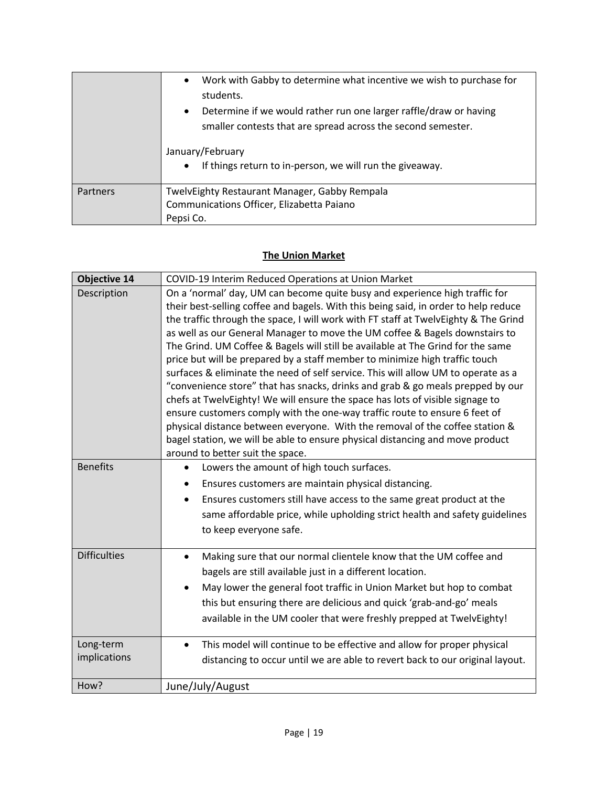| Partners | January/February<br>If things return to in-person, we will run the giveaway.<br>$\bullet$<br>TwelvEighty Restaurant Manager, Gabby Rempala<br>Communications Officer, Elizabetta Paiano                                                         |
|----------|-------------------------------------------------------------------------------------------------------------------------------------------------------------------------------------------------------------------------------------------------|
|          | Work with Gabby to determine what incentive we wish to purchase for<br>$\bullet$<br>students.<br>Determine if we would rather run one larger raffle/draw or having<br>$\bullet$<br>smaller contests that are spread across the second semester. |

## **The Union Market**

| <b>Objective 14</b> | COVID-19 Interim Reduced Operations at Union Market                                                               |
|---------------------|-------------------------------------------------------------------------------------------------------------------|
| Description         | On a 'normal' day, UM can become quite busy and experience high traffic for                                       |
|                     | their best-selling coffee and bagels. With this being said, in order to help reduce                               |
|                     | the traffic through the space, I will work with FT staff at TwelvEighty & The Grind                               |
|                     | as well as our General Manager to move the UM coffee & Bagels downstairs to                                       |
|                     | The Grind. UM Coffee & Bagels will still be available at The Grind for the same                                   |
|                     | price but will be prepared by a staff member to minimize high traffic touch                                       |
|                     | surfaces & eliminate the need of self service. This will allow UM to operate as a                                 |
|                     | "convenience store" that has snacks, drinks and grab & go meals prepped by our                                    |
|                     | chefs at TwelvEighty! We will ensure the space has lots of visible signage to                                     |
|                     | ensure customers comply with the one-way traffic route to ensure 6 feet of                                        |
|                     | physical distance between everyone. With the removal of the coffee station &                                      |
|                     | bagel station, we will be able to ensure physical distancing and move product<br>around to better suit the space. |
| <b>Benefits</b>     | Lowers the amount of high touch surfaces.                                                                         |
|                     |                                                                                                                   |
|                     | Ensures customers are maintain physical distancing.                                                               |
|                     | Ensures customers still have access to the same great product at the<br>$\bullet$                                 |
|                     | same affordable price, while upholding strict health and safety guidelines                                        |
|                     | to keep everyone safe.                                                                                            |
| <b>Difficulties</b> | Making sure that our normal clientele know that the UM coffee and<br>$\bullet$                                    |
|                     | bagels are still available just in a different location.                                                          |
|                     | May lower the general foot traffic in Union Market but hop to combat                                              |
|                     | this but ensuring there are delicious and quick 'grab-and-go' meals                                               |
|                     | available in the UM cooler that were freshly prepped at TwelvEighty!                                              |
|                     |                                                                                                                   |
| Long-term           | This model will continue to be effective and allow for proper physical<br>$\bullet$                               |
| implications        | distancing to occur until we are able to revert back to our original layout.                                      |
|                     |                                                                                                                   |
| How?                | June/July/August                                                                                                  |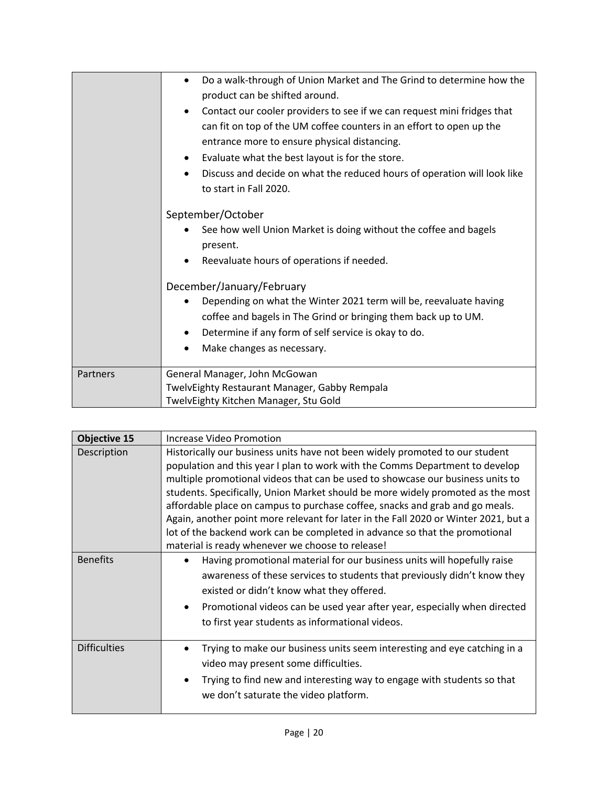|          | Do a walk-through of Union Market and The Grind to determine how the<br>$\bullet$<br>product can be shifted around.                                                                                                                                                                                                                                                                     |
|----------|-----------------------------------------------------------------------------------------------------------------------------------------------------------------------------------------------------------------------------------------------------------------------------------------------------------------------------------------------------------------------------------------|
|          | Contact our cooler providers to see if we can request mini fridges that<br>$\bullet$<br>can fit on top of the UM coffee counters in an effort to open up the<br>entrance more to ensure physical distancing.<br>Evaluate what the best layout is for the store.<br>٠<br>Discuss and decide on what the reduced hours of operation will look like<br>$\bullet$<br>to start in Fall 2020. |
|          | September/October<br>See how well Union Market is doing without the coffee and bagels<br>present.<br>Reevaluate hours of operations if needed.<br>$\bullet$                                                                                                                                                                                                                             |
|          | December/January/February<br>Depending on what the Winter 2021 term will be, reevaluate having<br>$\bullet$<br>coffee and bagels in The Grind or bringing them back up to UM.<br>Determine if any form of self service is okay to do.<br>$\bullet$<br>Make changes as necessary.                                                                                                        |
| Partners | General Manager, John McGowan<br>TwelvEighty Restaurant Manager, Gabby Rempala<br>TwelvEighty Kitchen Manager, Stu Gold                                                                                                                                                                                                                                                                 |

| <b>Objective 15</b> | Increase Video Promotion                                                                                                                                                                                                                                                                                                                                                                                                                                                                                                                                                                                                                    |
|---------------------|---------------------------------------------------------------------------------------------------------------------------------------------------------------------------------------------------------------------------------------------------------------------------------------------------------------------------------------------------------------------------------------------------------------------------------------------------------------------------------------------------------------------------------------------------------------------------------------------------------------------------------------------|
| Description         | Historically our business units have not been widely promoted to our student<br>population and this year I plan to work with the Comms Department to develop<br>multiple promotional videos that can be used to showcase our business units to<br>students. Specifically, Union Market should be more widely promoted as the most<br>affordable place on campus to purchase coffee, snacks and grab and go meals.<br>Again, another point more relevant for later in the Fall 2020 or Winter 2021, but a<br>lot of the backend work can be completed in advance so that the promotional<br>material is ready whenever we choose to release! |
| <b>Benefits</b>     | Having promotional material for our business units will hopefully raise<br>$\bullet$<br>awareness of these services to students that previously didn't know they<br>existed or didn't know what they offered.<br>Promotional videos can be used year after year, especially when directed<br>$\bullet$<br>to first year students as informational videos.                                                                                                                                                                                                                                                                                   |
| <b>Difficulties</b> | Trying to make our business units seem interesting and eye catching in a<br>video may present some difficulties.<br>Trying to find new and interesting way to engage with students so that<br>$\bullet$<br>we don't saturate the video platform.                                                                                                                                                                                                                                                                                                                                                                                            |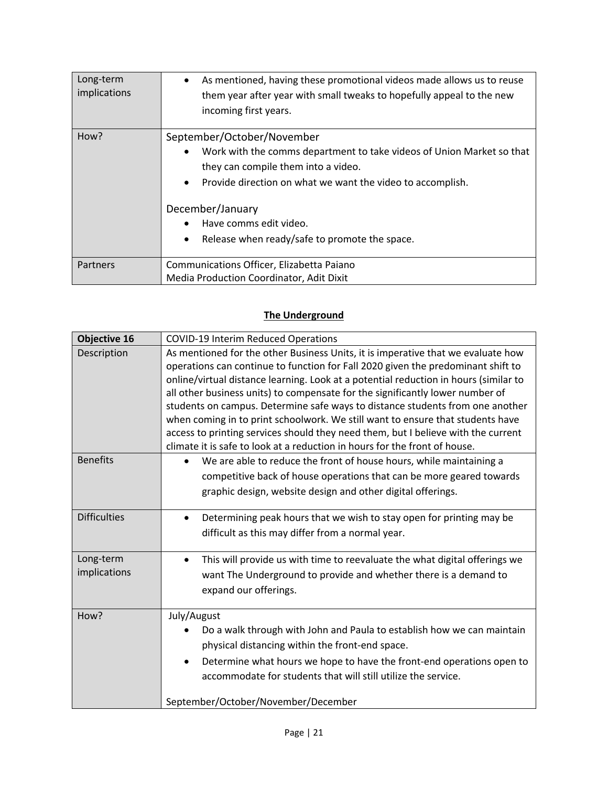| Long-term<br>implications | As mentioned, having these promotional videos made allows us to reuse<br>$\bullet$<br>them year after year with small tweaks to hopefully appeal to the new<br>incoming first years.                                                                                                                                           |
|---------------------------|--------------------------------------------------------------------------------------------------------------------------------------------------------------------------------------------------------------------------------------------------------------------------------------------------------------------------------|
| How?                      | September/October/November<br>Work with the comms department to take videos of Union Market so that<br>٠<br>they can compile them into a video.<br>Provide direction on what we want the video to accomplish.<br>$\bullet$<br>December/January<br>Have comms edit video.<br>Release when ready/safe to promote the space.<br>٠ |
| Partners                  | Communications Officer, Elizabetta Paiano<br>Media Production Coordinator, Adit Dixit                                                                                                                                                                                                                                          |

# **The Underground**

| <b>Objective 16</b>       | <b>COVID-19 Interim Reduced Operations</b>                                                                                                                                                                                                                                                                                                                                                                                                                                                                                                                                                                                                                                          |
|---------------------------|-------------------------------------------------------------------------------------------------------------------------------------------------------------------------------------------------------------------------------------------------------------------------------------------------------------------------------------------------------------------------------------------------------------------------------------------------------------------------------------------------------------------------------------------------------------------------------------------------------------------------------------------------------------------------------------|
| Description               | As mentioned for the other Business Units, it is imperative that we evaluate how<br>operations can continue to function for Fall 2020 given the predominant shift to<br>online/virtual distance learning. Look at a potential reduction in hours (similar to<br>all other business units) to compensate for the significantly lower number of<br>students on campus. Determine safe ways to distance students from one another<br>when coming in to print schoolwork. We still want to ensure that students have<br>access to printing services should they need them, but I believe with the current<br>climate it is safe to look at a reduction in hours for the front of house. |
| <b>Benefits</b>           | We are able to reduce the front of house hours, while maintaining a<br>$\bullet$<br>competitive back of house operations that can be more geared towards<br>graphic design, website design and other digital offerings.                                                                                                                                                                                                                                                                                                                                                                                                                                                             |
| <b>Difficulties</b>       | Determining peak hours that we wish to stay open for printing may be<br>$\bullet$<br>difficult as this may differ from a normal year.                                                                                                                                                                                                                                                                                                                                                                                                                                                                                                                                               |
| Long-term<br>implications | This will provide us with time to reevaluate the what digital offerings we<br>$\bullet$<br>want The Underground to provide and whether there is a demand to<br>expand our offerings.                                                                                                                                                                                                                                                                                                                                                                                                                                                                                                |
| How?                      | July/August<br>Do a walk through with John and Paula to establish how we can maintain<br>physical distancing within the front-end space.<br>Determine what hours we hope to have the front-end operations open to<br>$\bullet$<br>accommodate for students that will still utilize the service.<br>September/October/November/December                                                                                                                                                                                                                                                                                                                                              |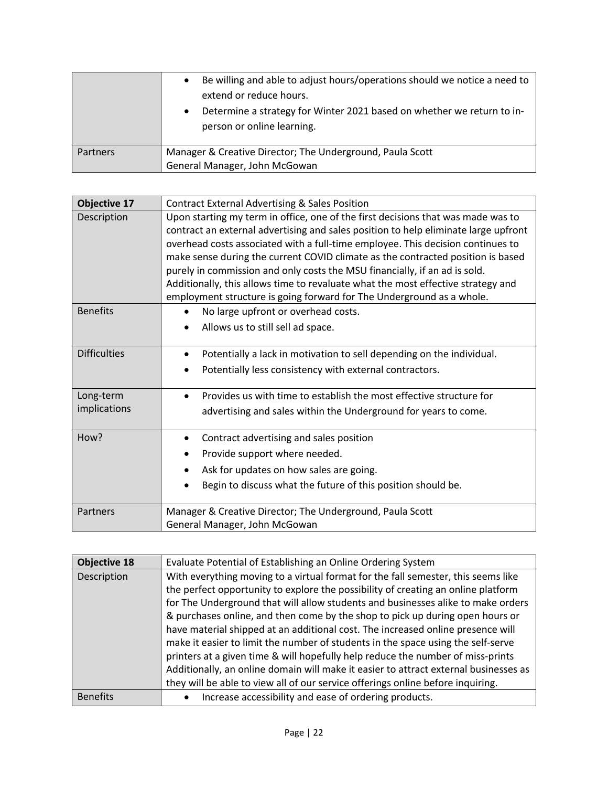| Be willing and able to adjust hours/operations should we notice a need to<br>$\bullet$<br>extend or reduce hours.<br>Determine a strategy for Winter 2021 based on whether we return to in-<br>$\bullet$<br>person or online learning. |
|----------------------------------------------------------------------------------------------------------------------------------------------------------------------------------------------------------------------------------------|
| Manager & Creative Director; The Underground, Paula Scott<br>General Manager, John McGowan                                                                                                                                             |
|                                                                                                                                                                                                                                        |

| <b>Objective 17</b>       | <b>Contract External Advertising &amp; Sales Position</b>                                                                                                                                                                                                                                                                                                                                                                                                                                                                                                                                |
|---------------------------|------------------------------------------------------------------------------------------------------------------------------------------------------------------------------------------------------------------------------------------------------------------------------------------------------------------------------------------------------------------------------------------------------------------------------------------------------------------------------------------------------------------------------------------------------------------------------------------|
| Description               | Upon starting my term in office, one of the first decisions that was made was to<br>contract an external advertising and sales position to help eliminate large upfront<br>overhead costs associated with a full-time employee. This decision continues to<br>make sense during the current COVID climate as the contracted position is based<br>purely in commission and only costs the MSU financially, if an ad is sold.<br>Additionally, this allows time to revaluate what the most effective strategy and<br>employment structure is going forward for The Underground as a whole. |
| <b>Benefits</b>           | No large upfront or overhead costs.<br>Allows us to still sell ad space.                                                                                                                                                                                                                                                                                                                                                                                                                                                                                                                 |
| <b>Difficulties</b>       | Potentially a lack in motivation to sell depending on the individual.<br>Potentially less consistency with external contractors.                                                                                                                                                                                                                                                                                                                                                                                                                                                         |
| Long-term<br>implications | Provides us with time to establish the most effective structure for<br>$\bullet$<br>advertising and sales within the Underground for years to come.                                                                                                                                                                                                                                                                                                                                                                                                                                      |
| How?                      | Contract advertising and sales position<br>$\bullet$<br>Provide support where needed.<br>Ask for updates on how sales are going.<br>Begin to discuss what the future of this position should be.                                                                                                                                                                                                                                                                                                                                                                                         |
| Partners                  | Manager & Creative Director; The Underground, Paula Scott<br>General Manager, John McGowan                                                                                                                                                                                                                                                                                                                                                                                                                                                                                               |

| <b>Objective 18</b> | Evaluate Potential of Establishing an Online Ordering System                         |
|---------------------|--------------------------------------------------------------------------------------|
| Description         | With everything moving to a virtual format for the fall semester, this seems like    |
|                     | the perfect opportunity to explore the possibility of creating an online platform    |
|                     | for The Underground that will allow students and businesses alike to make orders     |
|                     | & purchases online, and then come by the shop to pick up during open hours or        |
|                     | have material shipped at an additional cost. The increased online presence will      |
|                     | make it easier to limit the number of students in the space using the self-serve     |
|                     | printers at a given time & will hopefully help reduce the number of miss-prints      |
|                     | Additionally, an online domain will make it easier to attract external businesses as |
|                     | they will be able to view all of our service offerings online before inquiring.      |
| <b>Benefits</b>     | Increase accessibility and ease of ordering products.                                |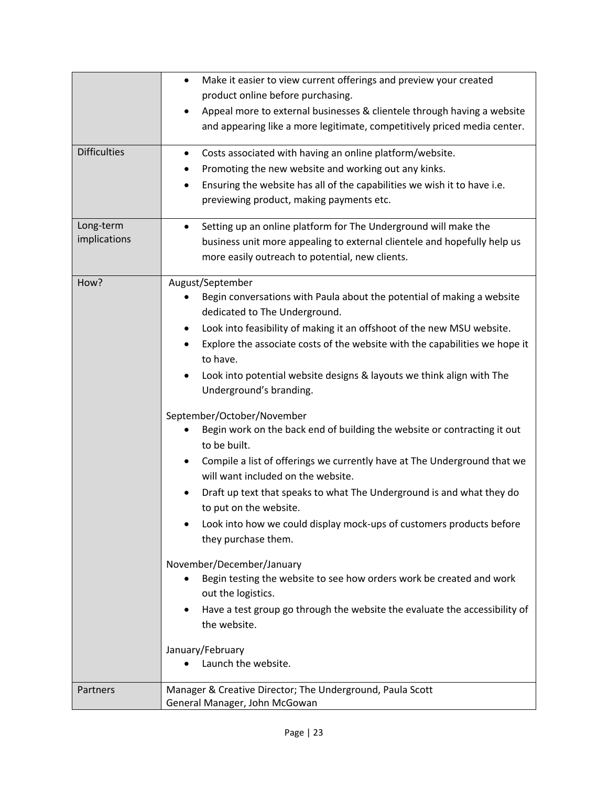| <b>Difficulties</b><br>Long-term | Make it easier to view current offerings and preview your created<br>$\bullet$<br>product online before purchasing.<br>Appeal more to external businesses & clientele through having a website<br>and appearing like a more legitimate, competitively priced media center.<br>Costs associated with having an online platform/website.<br>$\bullet$<br>Promoting the new website and working out any kinks.<br>٠<br>Ensuring the website has all of the capabilities we wish it to have i.e.<br>٠<br>previewing product, making payments etc.<br>Setting up an online platform for The Underground will make the<br>٠                                                                                                                                                                                                                                                                                                                                                                                                                                                                                                                              |
|----------------------------------|----------------------------------------------------------------------------------------------------------------------------------------------------------------------------------------------------------------------------------------------------------------------------------------------------------------------------------------------------------------------------------------------------------------------------------------------------------------------------------------------------------------------------------------------------------------------------------------------------------------------------------------------------------------------------------------------------------------------------------------------------------------------------------------------------------------------------------------------------------------------------------------------------------------------------------------------------------------------------------------------------------------------------------------------------------------------------------------------------------------------------------------------------|
| implications                     | business unit more appealing to external clientele and hopefully help us<br>more easily outreach to potential, new clients.                                                                                                                                                                                                                                                                                                                                                                                                                                                                                                                                                                                                                                                                                                                                                                                                                                                                                                                                                                                                                        |
| How?                             | August/September<br>Begin conversations with Paula about the potential of making a website<br>dedicated to The Underground.<br>Look into feasibility of making it an offshoot of the new MSU website.<br>٠<br>Explore the associate costs of the website with the capabilities we hope it<br>to have.<br>Look into potential website designs & layouts we think align with The<br>٠<br>Underground's branding.<br>September/October/November<br>Begin work on the back end of building the website or contracting it out<br>to be built.<br>Compile a list of offerings we currently have at The Underground that we<br>$\bullet$<br>will want included on the website.<br>Draft up text that speaks to what The Underground is and what they do<br>to put on the website.<br>Look into how we could display mock-ups of customers products before<br>they purchase them.<br>November/December/January<br>Begin testing the website to see how orders work be created and work<br>out the logistics.<br>Have a test group go through the website the evaluate the accessibility of<br>٠<br>the website.<br>January/February<br>Launch the website. |
| Partners                         | Manager & Creative Director; The Underground, Paula Scott<br>General Manager, John McGowan                                                                                                                                                                                                                                                                                                                                                                                                                                                                                                                                                                                                                                                                                                                                                                                                                                                                                                                                                                                                                                                         |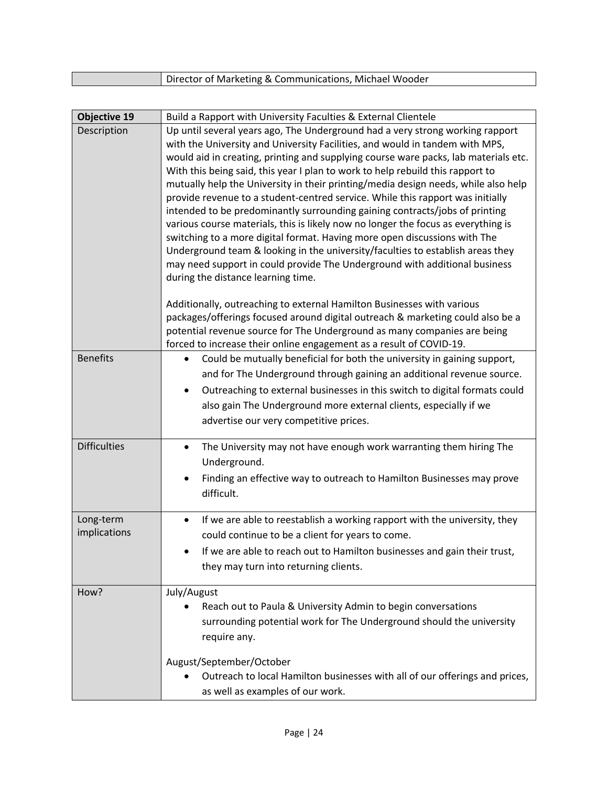| <b>Objective 19</b>       | Build a Rapport with University Faculties & External Clientele                                                                                                                                                                                                                                                                                                                                                                                                                                                                                                                                                                                                                                                                                                                                                                                                                                                                                                        |
|---------------------------|-----------------------------------------------------------------------------------------------------------------------------------------------------------------------------------------------------------------------------------------------------------------------------------------------------------------------------------------------------------------------------------------------------------------------------------------------------------------------------------------------------------------------------------------------------------------------------------------------------------------------------------------------------------------------------------------------------------------------------------------------------------------------------------------------------------------------------------------------------------------------------------------------------------------------------------------------------------------------|
| Description               | Up until several years ago, The Underground had a very strong working rapport<br>with the University and University Facilities, and would in tandem with MPS,<br>would aid in creating, printing and supplying course ware packs, lab materials etc.<br>With this being said, this year I plan to work to help rebuild this rapport to<br>mutually help the University in their printing/media design needs, while also help<br>provide revenue to a student-centred service. While this rapport was initially<br>intended to be predominantly surrounding gaining contracts/jobs of printing<br>various course materials, this is likely now no longer the focus as everything is<br>switching to a more digital format. Having more open discussions with The<br>Underground team & looking in the university/faculties to establish areas they<br>may need support in could provide The Underground with additional business<br>during the distance learning time. |
|                           | Additionally, outreaching to external Hamilton Businesses with various<br>packages/offerings focused around digital outreach & marketing could also be a<br>potential revenue source for The Underground as many companies are being<br>forced to increase their online engagement as a result of COVID-19.                                                                                                                                                                                                                                                                                                                                                                                                                                                                                                                                                                                                                                                           |
| <b>Benefits</b>           | Could be mutually beneficial for both the university in gaining support,<br>$\bullet$<br>and for The Underground through gaining an additional revenue source.<br>Outreaching to external businesses in this switch to digital formats could<br>$\bullet$<br>also gain The Underground more external clients, especially if we<br>advertise our very competitive prices.                                                                                                                                                                                                                                                                                                                                                                                                                                                                                                                                                                                              |
| <b>Difficulties</b>       | The University may not have enough work warranting them hiring The<br>$\bullet$<br>Underground.<br>Finding an effective way to outreach to Hamilton Businesses may prove<br>difficult.                                                                                                                                                                                                                                                                                                                                                                                                                                                                                                                                                                                                                                                                                                                                                                                |
| Long-term<br>implications | If we are able to reestablish a working rapport with the university, they<br>$\bullet$<br>could continue to be a client for years to come.<br>If we are able to reach out to Hamilton businesses and gain their trust,<br>they may turn into returning clients.                                                                                                                                                                                                                                                                                                                                                                                                                                                                                                                                                                                                                                                                                                       |
| How?                      | July/August<br>Reach out to Paula & University Admin to begin conversations<br>surrounding potential work for The Underground should the university<br>require any.                                                                                                                                                                                                                                                                                                                                                                                                                                                                                                                                                                                                                                                                                                                                                                                                   |
|                           | August/September/October<br>Outreach to local Hamilton businesses with all of our offerings and prices,<br>as well as examples of our work.                                                                                                                                                                                                                                                                                                                                                                                                                                                                                                                                                                                                                                                                                                                                                                                                                           |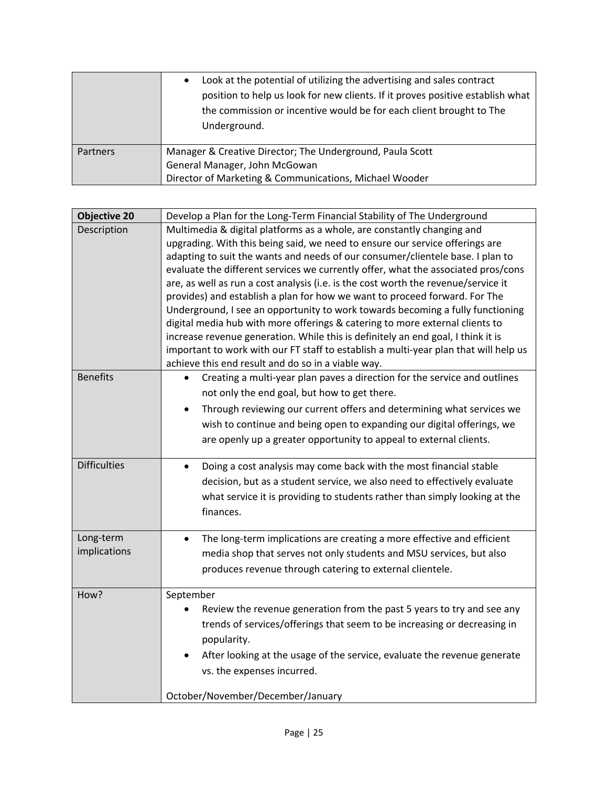|          | Look at the potential of utilizing the advertising and sales contract<br>$\bullet$<br>position to help us look for new clients. If it proves positive establish what<br>the commission or incentive would be for each client brought to The<br>Underground. |
|----------|-------------------------------------------------------------------------------------------------------------------------------------------------------------------------------------------------------------------------------------------------------------|
| Partners | Manager & Creative Director; The Underground, Paula Scott<br>General Manager, John McGowan<br>Director of Marketing & Communications, Michael Wooder                                                                                                        |

| <b>Objective 20</b>       | Develop a Plan for the Long-Term Financial Stability of The Underground                                                                                                                                                                                                                                                                                                                                                                                                                                                                                                                                                                                                                                                                                                                                                                                                                               |
|---------------------------|-------------------------------------------------------------------------------------------------------------------------------------------------------------------------------------------------------------------------------------------------------------------------------------------------------------------------------------------------------------------------------------------------------------------------------------------------------------------------------------------------------------------------------------------------------------------------------------------------------------------------------------------------------------------------------------------------------------------------------------------------------------------------------------------------------------------------------------------------------------------------------------------------------|
| Description               | Multimedia & digital platforms as a whole, are constantly changing and<br>upgrading. With this being said, we need to ensure our service offerings are<br>adapting to suit the wants and needs of our consumer/clientele base. I plan to<br>evaluate the different services we currently offer, what the associated pros/cons<br>are, as well as run a cost analysis (i.e. is the cost worth the revenue/service it<br>provides) and establish a plan for how we want to proceed forward. For The<br>Underground, I see an opportunity to work towards becoming a fully functioning<br>digital media hub with more offerings & catering to more external clients to<br>increase revenue generation. While this is definitely an end goal, I think it is<br>important to work with our FT staff to establish a multi-year plan that will help us<br>achieve this end result and do so in a viable way. |
| <b>Benefits</b>           | Creating a multi-year plan paves a direction for the service and outlines<br>not only the end goal, but how to get there.<br>Through reviewing our current offers and determining what services we<br>wish to continue and being open to expanding our digital offerings, we<br>are openly up a greater opportunity to appeal to external clients.                                                                                                                                                                                                                                                                                                                                                                                                                                                                                                                                                    |
| <b>Difficulties</b>       | Doing a cost analysis may come back with the most financial stable<br>$\bullet$<br>decision, but as a student service, we also need to effectively evaluate<br>what service it is providing to students rather than simply looking at the<br>finances.                                                                                                                                                                                                                                                                                                                                                                                                                                                                                                                                                                                                                                                |
| Long-term<br>implications | The long-term implications are creating a more effective and efficient<br>$\bullet$<br>media shop that serves not only students and MSU services, but also<br>produces revenue through catering to external clientele.                                                                                                                                                                                                                                                                                                                                                                                                                                                                                                                                                                                                                                                                                |
| How?                      | September<br>Review the revenue generation from the past 5 years to try and see any<br>trends of services/offerings that seem to be increasing or decreasing in<br>popularity.<br>After looking at the usage of the service, evaluate the revenue generate<br>vs. the expenses incurred.<br>October/November/December/January                                                                                                                                                                                                                                                                                                                                                                                                                                                                                                                                                                         |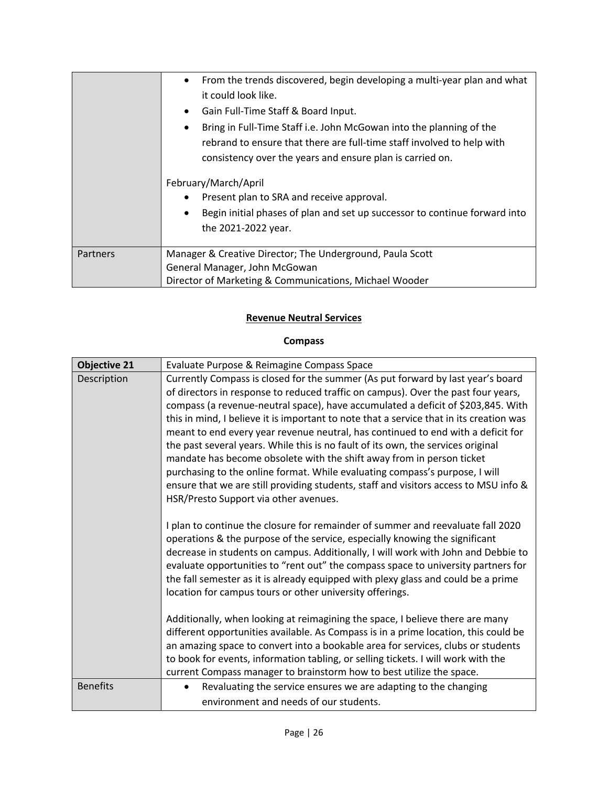|          | From the trends discovered, begin developing a multi-year plan and what<br>$\bullet$<br>it could look like.<br>Gain Full-Time Staff & Board Input.<br>$\bullet$<br>Bring in Full-Time Staff i.e. John McGowan into the planning of the<br>٠<br>rebrand to ensure that there are full-time staff involved to help with<br>consistency over the years and ensure plan is carried on.<br>February/March/April<br>Present plan to SRA and receive approval.<br>$\bullet$<br>Begin initial phases of plan and set up successor to continue forward into<br>٠<br>the 2021-2022 year. |
|----------|--------------------------------------------------------------------------------------------------------------------------------------------------------------------------------------------------------------------------------------------------------------------------------------------------------------------------------------------------------------------------------------------------------------------------------------------------------------------------------------------------------------------------------------------------------------------------------|
| Partners | Manager & Creative Director; The Underground, Paula Scott                                                                                                                                                                                                                                                                                                                                                                                                                                                                                                                      |
|          | General Manager, John McGowan                                                                                                                                                                                                                                                                                                                                                                                                                                                                                                                                                  |
|          | Director of Marketing & Communications, Michael Wooder                                                                                                                                                                                                                                                                                                                                                                                                                                                                                                                         |

#### **Revenue Neutral Services**

# **Compass**

| <b>Objective 21</b> | Evaluate Purpose & Reimagine Compass Space                                                                                                                                                                                                                                                                                                                                                                                                                                                                                                                                                                                                                                                                                                                                                                           |
|---------------------|----------------------------------------------------------------------------------------------------------------------------------------------------------------------------------------------------------------------------------------------------------------------------------------------------------------------------------------------------------------------------------------------------------------------------------------------------------------------------------------------------------------------------------------------------------------------------------------------------------------------------------------------------------------------------------------------------------------------------------------------------------------------------------------------------------------------|
| Description         | Currently Compass is closed for the summer (As put forward by last year's board<br>of directors in response to reduced traffic on campus). Over the past four years,<br>compass (a revenue-neutral space), have accumulated a deficit of \$203,845. With<br>this in mind, I believe it is important to note that a service that in its creation was<br>meant to end every year revenue neutral, has continued to end with a deficit for<br>the past several years. While this is no fault of its own, the services original<br>mandate has become obsolete with the shift away from in person ticket<br>purchasing to the online format. While evaluating compass's purpose, I will<br>ensure that we are still providing students, staff and visitors access to MSU info &<br>HSR/Presto Support via other avenues. |
|                     | I plan to continue the closure for remainder of summer and reevaluate fall 2020<br>operations & the purpose of the service, especially knowing the significant<br>decrease in students on campus. Additionally, I will work with John and Debbie to<br>evaluate opportunities to "rent out" the compass space to university partners for<br>the fall semester as it is already equipped with plexy glass and could be a prime<br>location for campus tours or other university offerings.                                                                                                                                                                                                                                                                                                                            |
|                     | Additionally, when looking at reimagining the space, I believe there are many<br>different opportunities available. As Compass is in a prime location, this could be<br>an amazing space to convert into a bookable area for services, clubs or students<br>to book for events, information tabling, or selling tickets. I will work with the<br>current Compass manager to brainstorm how to best utilize the space.                                                                                                                                                                                                                                                                                                                                                                                                |
| <b>Benefits</b>     | Revaluating the service ensures we are adapting to the changing<br>environment and needs of our students.                                                                                                                                                                                                                                                                                                                                                                                                                                                                                                                                                                                                                                                                                                            |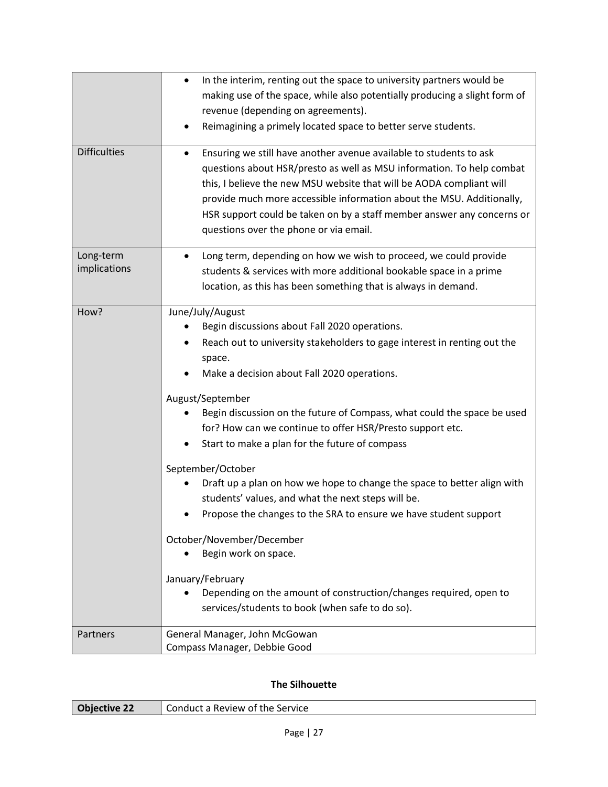| <b>Difficulties</b>       | In the interim, renting out the space to university partners would be<br>$\bullet$<br>making use of the space, while also potentially producing a slight form of<br>revenue (depending on agreements).<br>Reimagining a primely located space to better serve students.<br>Ensuring we still have another avenue available to students to ask<br>٠<br>questions about HSR/presto as well as MSU information. To help combat<br>this, I believe the new MSU website that will be AODA compliant will<br>provide much more accessible information about the MSU. Additionally,<br>HSR support could be taken on by a staff member answer any concerns or<br>questions over the phone or via email.                                                                                                                                                |
|---------------------------|-------------------------------------------------------------------------------------------------------------------------------------------------------------------------------------------------------------------------------------------------------------------------------------------------------------------------------------------------------------------------------------------------------------------------------------------------------------------------------------------------------------------------------------------------------------------------------------------------------------------------------------------------------------------------------------------------------------------------------------------------------------------------------------------------------------------------------------------------|
| Long-term<br>implications | Long term, depending on how we wish to proceed, we could provide<br>$\bullet$<br>students & services with more additional bookable space in a prime<br>location, as this has been something that is always in demand.                                                                                                                                                                                                                                                                                                                                                                                                                                                                                                                                                                                                                           |
| How?                      | June/July/August<br>Begin discussions about Fall 2020 operations.<br>Reach out to university stakeholders to gage interest in renting out the<br>space.<br>Make a decision about Fall 2020 operations.<br>August/September<br>Begin discussion on the future of Compass, what could the space be used<br>for? How can we continue to offer HSR/Presto support etc.<br>Start to make a plan for the future of compass<br>September/October<br>Draft up a plan on how we hope to change the space to better align with<br>students' values, and what the next steps will be.<br>Propose the changes to the SRA to ensure we have student support<br>October/November/December<br>Begin work on space.<br>January/February<br>Depending on the amount of construction/changes required, open to<br>services/students to book (when safe to do so). |
| Partners                  | General Manager, John McGowan<br>Compass Manager, Debbie Good                                                                                                                                                                                                                                                                                                                                                                                                                                                                                                                                                                                                                                                                                                                                                                                   |

# **The Silhouette**

| <b>Objective 22</b> | Conduct a Review of the Service |
|---------------------|---------------------------------|
|                     |                                 |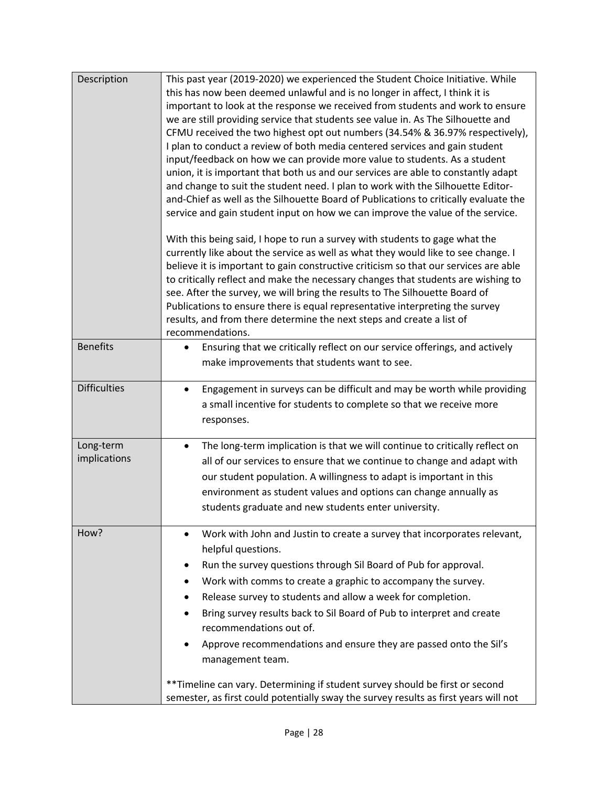| Description               | This past year (2019-2020) we experienced the Student Choice Initiative. While<br>this has now been deemed unlawful and is no longer in affect, I think it is<br>important to look at the response we received from students and work to ensure<br>we are still providing service that students see value in. As The Silhouette and<br>CFMU received the two highest opt out numbers (34.54% & 36.97% respectively),<br>I plan to conduct a review of both media centered services and gain student<br>input/feedback on how we can provide more value to students. As a student<br>union, it is important that both us and our services are able to constantly adapt<br>and change to suit the student need. I plan to work with the Silhouette Editor-<br>and-Chief as well as the Silhouette Board of Publications to critically evaluate the<br>service and gain student input on how we can improve the value of the service. |
|---------------------------|------------------------------------------------------------------------------------------------------------------------------------------------------------------------------------------------------------------------------------------------------------------------------------------------------------------------------------------------------------------------------------------------------------------------------------------------------------------------------------------------------------------------------------------------------------------------------------------------------------------------------------------------------------------------------------------------------------------------------------------------------------------------------------------------------------------------------------------------------------------------------------------------------------------------------------|
|                           | With this being said, I hope to run a survey with students to gage what the<br>currently like about the service as well as what they would like to see change. I<br>believe it is important to gain constructive criticism so that our services are able<br>to critically reflect and make the necessary changes that students are wishing to<br>see. After the survey, we will bring the results to The Silhouette Board of<br>Publications to ensure there is equal representative interpreting the survey<br>results, and from there determine the next steps and create a list of<br>recommendations.                                                                                                                                                                                                                                                                                                                          |
| <b>Benefits</b>           | Ensuring that we critically reflect on our service offerings, and actively<br>$\bullet$<br>make improvements that students want to see.                                                                                                                                                                                                                                                                                                                                                                                                                                                                                                                                                                                                                                                                                                                                                                                            |
| <b>Difficulties</b>       | Engagement in surveys can be difficult and may be worth while providing<br>$\bullet$<br>a small incentive for students to complete so that we receive more<br>responses.                                                                                                                                                                                                                                                                                                                                                                                                                                                                                                                                                                                                                                                                                                                                                           |
| Long-term<br>implications | The long-term implication is that we will continue to critically reflect on<br>$\bullet$<br>all of our services to ensure that we continue to change and adapt with<br>our student population. A willingness to adapt is important in this<br>environment as student values and options can change annually as<br>students graduate and new students enter university.                                                                                                                                                                                                                                                                                                                                                                                                                                                                                                                                                             |
| How?                      | Work with John and Justin to create a survey that incorporates relevant,<br>$\bullet$<br>helpful questions.<br>Run the survey questions through Sil Board of Pub for approval.<br>٠<br>Work with comms to create a graphic to accompany the survey.<br>٠<br>Release survey to students and allow a week for completion.<br>Bring survey results back to Sil Board of Pub to interpret and create<br>recommendations out of.<br>Approve recommendations and ensure they are passed onto the Sil's<br>management team.<br>** Timeline can vary. Determining if student survey should be first or second<br>semester, as first could potentially sway the survey results as first years will not                                                                                                                                                                                                                                      |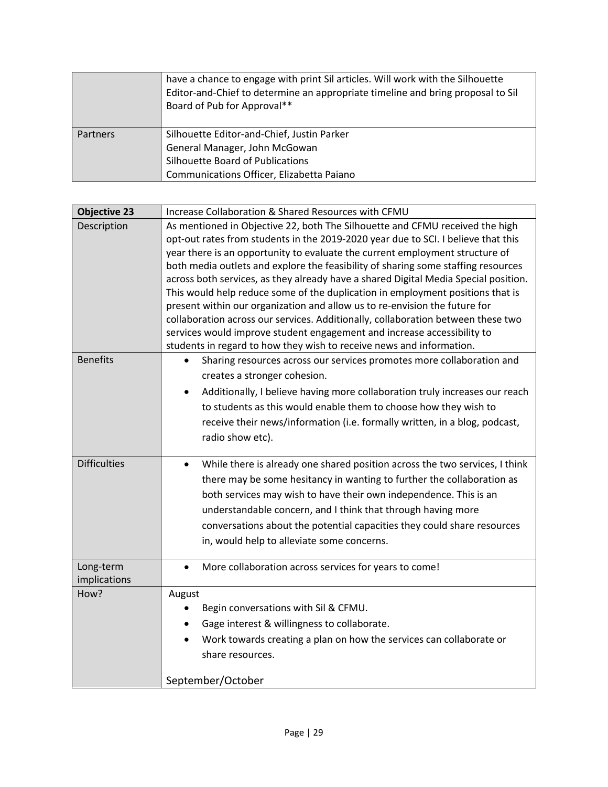|          | have a chance to engage with print Sil articles. Will work with the Silhouette<br>Editor-and-Chief to determine an appropriate timeline and bring proposal to Sil<br>Board of Pub for Approval** |
|----------|--------------------------------------------------------------------------------------------------------------------------------------------------------------------------------------------------|
| Partners | Silhouette Editor-and-Chief, Justin Parker                                                                                                                                                       |
|          | General Manager, John McGowan                                                                                                                                                                    |
|          | Silhouette Board of Publications                                                                                                                                                                 |
|          | Communications Officer, Elizabetta Paiano                                                                                                                                                        |

| <b>Objective 23</b>       | Increase Collaboration & Shared Resources with CFMU                                                                                                                                                                                                                                                                                                                                                                                                                                                                                                                                                                                                                                                                                                                                                                                  |
|---------------------------|--------------------------------------------------------------------------------------------------------------------------------------------------------------------------------------------------------------------------------------------------------------------------------------------------------------------------------------------------------------------------------------------------------------------------------------------------------------------------------------------------------------------------------------------------------------------------------------------------------------------------------------------------------------------------------------------------------------------------------------------------------------------------------------------------------------------------------------|
| Description               | As mentioned in Objective 22, both The Silhouette and CFMU received the high<br>opt-out rates from students in the 2019-2020 year due to SCI. I believe that this<br>year there is an opportunity to evaluate the current employment structure of<br>both media outlets and explore the feasibility of sharing some staffing resources<br>across both services, as they already have a shared Digital Media Special position.<br>This would help reduce some of the duplication in employment positions that is<br>present within our organization and allow us to re-envision the future for<br>collaboration across our services. Additionally, collaboration between these two<br>services would improve student engagement and increase accessibility to<br>students in regard to how they wish to receive news and information. |
| <b>Benefits</b>           | Sharing resources across our services promotes more collaboration and<br>creates a stronger cohesion.<br>Additionally, I believe having more collaboration truly increases our reach<br>to students as this would enable them to choose how they wish to<br>receive their news/information (i.e. formally written, in a blog, podcast,<br>radio show etc).                                                                                                                                                                                                                                                                                                                                                                                                                                                                           |
| <b>Difficulties</b>       | While there is already one shared position across the two services, I think<br>$\bullet$<br>there may be some hesitancy in wanting to further the collaboration as<br>both services may wish to have their own independence. This is an<br>understandable concern, and I think that through having more<br>conversations about the potential capacities they could share resources<br>in, would help to alleviate some concerns.                                                                                                                                                                                                                                                                                                                                                                                                     |
| Long-term<br>implications | More collaboration across services for years to come!                                                                                                                                                                                                                                                                                                                                                                                                                                                                                                                                                                                                                                                                                                                                                                                |
| How?                      | August<br>Begin conversations with Sil & CFMU.<br>Gage interest & willingness to collaborate.<br>Work towards creating a plan on how the services can collaborate or<br>share resources.<br>September/October                                                                                                                                                                                                                                                                                                                                                                                                                                                                                                                                                                                                                        |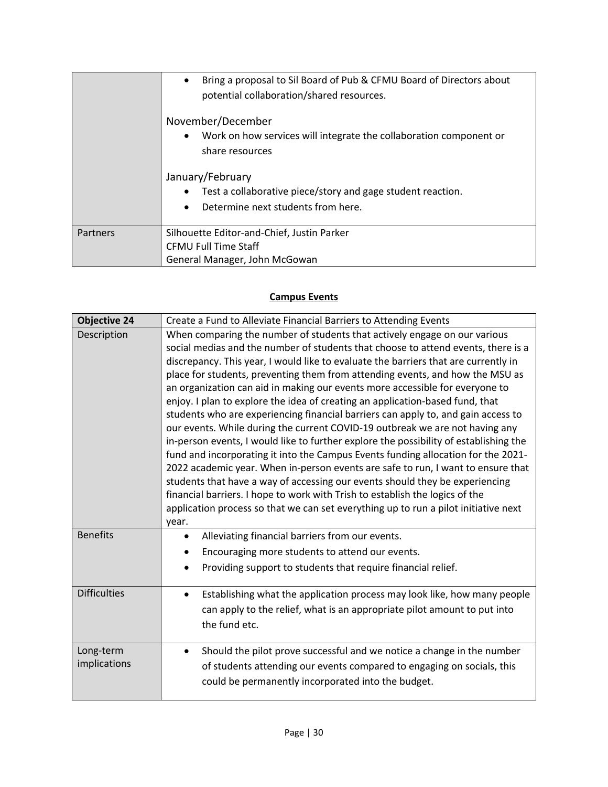|          | Bring a proposal to Sil Board of Pub & CFMU Board of Directors about<br>$\bullet$<br>potential collaboration/shared resources. |
|----------|--------------------------------------------------------------------------------------------------------------------------------|
|          | November/December                                                                                                              |
|          | Work on how services will integrate the collaboration component or<br>share resources                                          |
|          | January/February                                                                                                               |
|          | Test a collaborative piece/story and gage student reaction.                                                                    |
|          | Determine next students from here.<br>$\bullet$                                                                                |
| Partners | Silhouette Editor-and-Chief, Justin Parker                                                                                     |
|          | <b>CFMU Full Time Staff</b>                                                                                                    |
|          | General Manager, John McGowan                                                                                                  |

## **Campus Events**

| <b>Objective 24</b> | Create a Fund to Alleviate Financial Barriers to Attending Events                     |
|---------------------|---------------------------------------------------------------------------------------|
| Description         | When comparing the number of students that actively engage on our various             |
|                     | social medias and the number of students that choose to attend events, there is a     |
|                     | discrepancy. This year, I would like to evaluate the barriers that are currently in   |
|                     | place for students, preventing them from attending events, and how the MSU as         |
|                     | an organization can aid in making our events more accessible for everyone to          |
|                     | enjoy. I plan to explore the idea of creating an application-based fund, that         |
|                     | students who are experiencing financial barriers can apply to, and gain access to     |
|                     | our events. While during the current COVID-19 outbreak we are not having any          |
|                     | in-person events, I would like to further explore the possibility of establishing the |
|                     | fund and incorporating it into the Campus Events funding allocation for the 2021-     |
|                     | 2022 academic year. When in-person events are safe to run, I want to ensure that      |
|                     | students that have a way of accessing our events should they be experiencing          |
|                     | financial barriers. I hope to work with Trish to establish the logics of the          |
|                     | application process so that we can set everything up to run a pilot initiative next   |
|                     | year.                                                                                 |
| <b>Benefits</b>     | Alleviating financial barriers from our events.<br>٠                                  |
|                     | Encouraging more students to attend our events.                                       |
|                     | Providing support to students that require financial relief.                          |
| <b>Difficulties</b> | Establishing what the application process may look like, how many people<br>$\bullet$ |
|                     | can apply to the relief, what is an appropriate pilot amount to put into              |
|                     | the fund etc.                                                                         |
|                     |                                                                                       |
| Long-term           | Should the pilot prove successful and we notice a change in the number<br>$\bullet$   |
| implications        | of students attending our events compared to engaging on socials, this                |
|                     | could be permanently incorporated into the budget.                                    |
|                     |                                                                                       |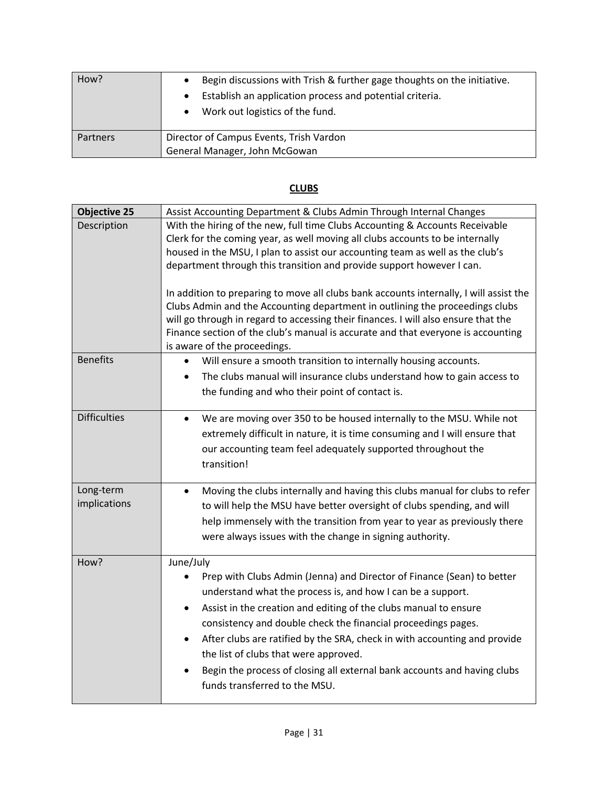| How?            | Begin discussions with Trish & further gage thoughts on the initiative.<br>Establish an application process and potential criteria.<br>Work out logistics of the fund.<br>$\bullet$ |
|-----------------|-------------------------------------------------------------------------------------------------------------------------------------------------------------------------------------|
| <b>Partners</b> | Director of Campus Events, Trish Vardon<br>General Manager, John McGowan                                                                                                            |

# **CLUBS**

| <b>Objective 25</b>       | Assist Accounting Department & Clubs Admin Through Internal Changes                                                                                                                                                                                                                                                                                                                                                                                                                                                                                                                                                                                                                                         |
|---------------------------|-------------------------------------------------------------------------------------------------------------------------------------------------------------------------------------------------------------------------------------------------------------------------------------------------------------------------------------------------------------------------------------------------------------------------------------------------------------------------------------------------------------------------------------------------------------------------------------------------------------------------------------------------------------------------------------------------------------|
| Description               | With the hiring of the new, full time Clubs Accounting & Accounts Receivable<br>Clerk for the coming year, as well moving all clubs accounts to be internally<br>housed in the MSU, I plan to assist our accounting team as well as the club's<br>department through this transition and provide support however I can.<br>In addition to preparing to move all clubs bank accounts internally, I will assist the<br>Clubs Admin and the Accounting department in outlining the proceedings clubs<br>will go through in regard to accessing their finances. I will also ensure that the<br>Finance section of the club's manual is accurate and that everyone is accounting<br>is aware of the proceedings. |
| <b>Benefits</b>           | Will ensure a smooth transition to internally housing accounts.<br>$\bullet$<br>The clubs manual will insurance clubs understand how to gain access to<br>$\bullet$<br>the funding and who their point of contact is.                                                                                                                                                                                                                                                                                                                                                                                                                                                                                       |
| <b>Difficulties</b>       | We are moving over 350 to be housed internally to the MSU. While not<br>$\bullet$<br>extremely difficult in nature, it is time consuming and I will ensure that<br>our accounting team feel adequately supported throughout the<br>transition!                                                                                                                                                                                                                                                                                                                                                                                                                                                              |
| Long-term<br>implications | Moving the clubs internally and having this clubs manual for clubs to refer<br>$\bullet$<br>to will help the MSU have better oversight of clubs spending, and will<br>help immensely with the transition from year to year as previously there<br>were always issues with the change in signing authority.                                                                                                                                                                                                                                                                                                                                                                                                  |
| How?                      | June/July<br>Prep with Clubs Admin (Jenna) and Director of Finance (Sean) to better<br>understand what the process is, and how I can be a support.<br>Assist in the creation and editing of the clubs manual to ensure<br>$\bullet$<br>consistency and double check the financial proceedings pages.<br>After clubs are ratified by the SRA, check in with accounting and provide<br>$\bullet$<br>the list of clubs that were approved.<br>Begin the process of closing all external bank accounts and having clubs<br>$\bullet$<br>funds transferred to the MSU.                                                                                                                                           |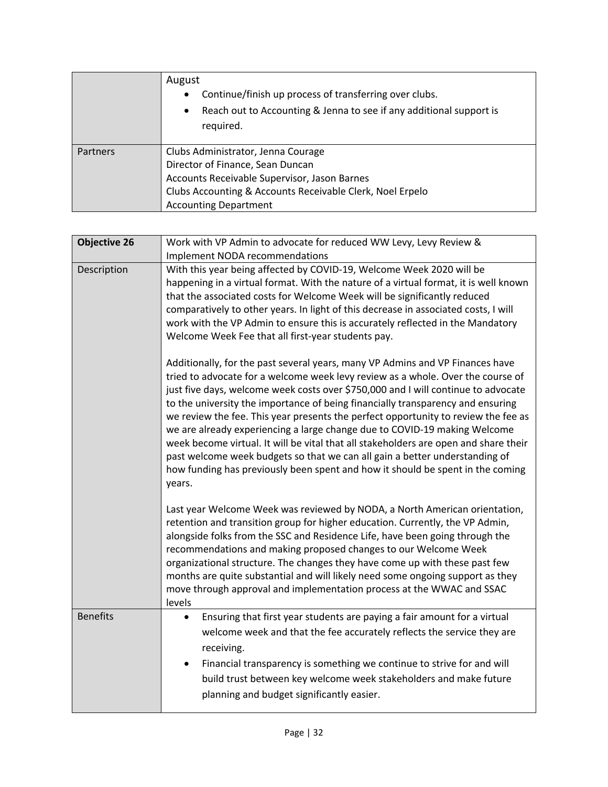|          | August<br>Continue/finish up process of transferring over clubs.<br>$\bullet$<br>Reach out to Accounting & Jenna to see if any additional support is<br>$\bullet$<br>required.                                      |
|----------|---------------------------------------------------------------------------------------------------------------------------------------------------------------------------------------------------------------------|
| Partners | Clubs Administrator, Jenna Courage<br>Director of Finance, Sean Duncan<br>Accounts Receivable Supervisor, Jason Barnes<br>Clubs Accounting & Accounts Receivable Clerk, Noel Erpelo<br><b>Accounting Department</b> |

| <b>Objective 26</b> | Work with VP Admin to advocate for reduced WW Levy, Levy Review &                                                                                                                                                                                                                                                                                                                                                                                                                                                                                                                                                                                                                                                                                                              |
|---------------------|--------------------------------------------------------------------------------------------------------------------------------------------------------------------------------------------------------------------------------------------------------------------------------------------------------------------------------------------------------------------------------------------------------------------------------------------------------------------------------------------------------------------------------------------------------------------------------------------------------------------------------------------------------------------------------------------------------------------------------------------------------------------------------|
|                     | Implement NODA recommendations                                                                                                                                                                                                                                                                                                                                                                                                                                                                                                                                                                                                                                                                                                                                                 |
| Description         | With this year being affected by COVID-19, Welcome Week 2020 will be<br>happening in a virtual format. With the nature of a virtual format, it is well known<br>that the associated costs for Welcome Week will be significantly reduced<br>comparatively to other years. In light of this decrease in associated costs, I will<br>work with the VP Admin to ensure this is accurately reflected in the Mandatory<br>Welcome Week Fee that all first-year students pay.                                                                                                                                                                                                                                                                                                        |
|                     | Additionally, for the past several years, many VP Admins and VP Finances have<br>tried to advocate for a welcome week levy review as a whole. Over the course of<br>just five days, welcome week costs over \$750,000 and I will continue to advocate<br>to the university the importance of being financially transparency and ensuring<br>we review the fee. This year presents the perfect opportunity to review the fee as<br>we are already experiencing a large change due to COVID-19 making Welcome<br>week become virtual. It will be vital that all stakeholders are open and share their<br>past welcome week budgets so that we can all gain a better understanding of<br>how funding has previously been spent and how it should be spent in the coming<br>years. |
|                     | Last year Welcome Week was reviewed by NODA, a North American orientation,<br>retention and transition group for higher education. Currently, the VP Admin,<br>alongside folks from the SSC and Residence Life, have been going through the<br>recommendations and making proposed changes to our Welcome Week<br>organizational structure. The changes they have come up with these past few<br>months are quite substantial and will likely need some ongoing support as they<br>move through approval and implementation process at the WWAC and SSAC<br>levels                                                                                                                                                                                                             |
| <b>Benefits</b>     | Ensuring that first year students are paying a fair amount for a virtual<br>٠<br>welcome week and that the fee accurately reflects the service they are<br>receiving.<br>Financial transparency is something we continue to strive for and will<br>$\bullet$<br>build trust between key welcome week stakeholders and make future<br>planning and budget significantly easier.                                                                                                                                                                                                                                                                                                                                                                                                 |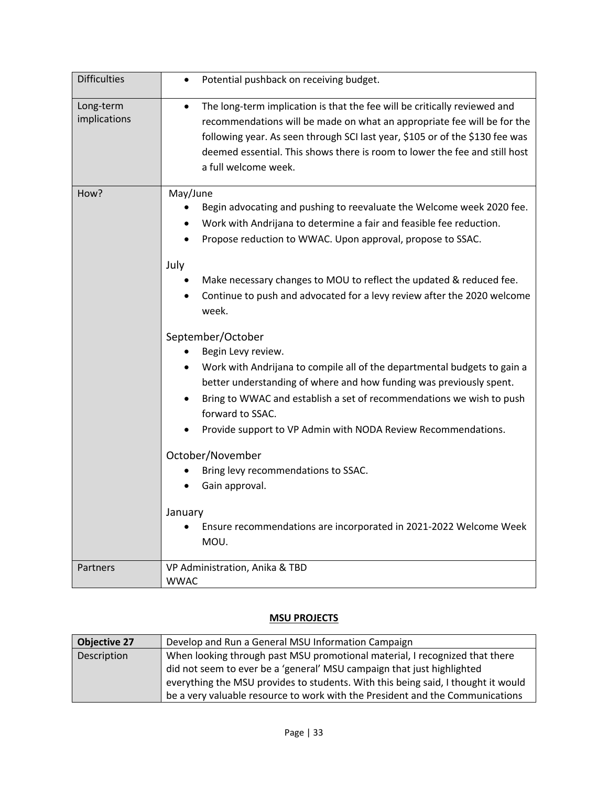| <b>Difficulties</b>       | Potential pushback on receiving budget.<br>$\bullet$                                                                                                                                                                                                                                                                                                                                                                                                                                                                                                                                                                                                                                                                                                                                                                                                                                                                                   |
|---------------------------|----------------------------------------------------------------------------------------------------------------------------------------------------------------------------------------------------------------------------------------------------------------------------------------------------------------------------------------------------------------------------------------------------------------------------------------------------------------------------------------------------------------------------------------------------------------------------------------------------------------------------------------------------------------------------------------------------------------------------------------------------------------------------------------------------------------------------------------------------------------------------------------------------------------------------------------|
| Long-term<br>implications | The long-term implication is that the fee will be critically reviewed and<br>$\bullet$<br>recommendations will be made on what an appropriate fee will be for the<br>following year. As seen through SCI last year, \$105 or of the \$130 fee was<br>deemed essential. This shows there is room to lower the fee and still host<br>a full welcome week.                                                                                                                                                                                                                                                                                                                                                                                                                                                                                                                                                                                |
| How?                      | May/June<br>Begin advocating and pushing to reevaluate the Welcome week 2020 fee.<br>Work with Andrijana to determine a fair and feasible fee reduction.<br>Propose reduction to WWAC. Upon approval, propose to SSAC.<br>July<br>Make necessary changes to MOU to reflect the updated & reduced fee.<br>Continue to push and advocated for a levy review after the 2020 welcome<br>week.<br>September/October<br>Begin Levy review.<br>Work with Andrijana to compile all of the departmental budgets to gain a<br>better understanding of where and how funding was previously spent.<br>Bring to WWAC and establish a set of recommendations we wish to push<br>$\bullet$<br>forward to SSAC.<br>Provide support to VP Admin with NODA Review Recommendations.<br>October/November<br>Bring levy recommendations to SSAC.<br>Gain approval.<br>January<br>Ensure recommendations are incorporated in 2021-2022 Welcome Week<br>MOU. |
| Partners                  | VP Administration, Anika & TBD<br><b>WWAC</b>                                                                                                                                                                                                                                                                                                                                                                                                                                                                                                                                                                                                                                                                                                                                                                                                                                                                                          |

#### **MSU PROJECTS**

| <b>Objective 27</b> | Develop and Run a General MSU Information Campaign                                |
|---------------------|-----------------------------------------------------------------------------------|
| Description         | When looking through past MSU promotional material, I recognized that there       |
|                     | did not seem to ever be a 'general' MSU campaign that just highlighted            |
|                     | everything the MSU provides to students. With this being said, I thought it would |
|                     | be a very valuable resource to work with the President and the Communications     |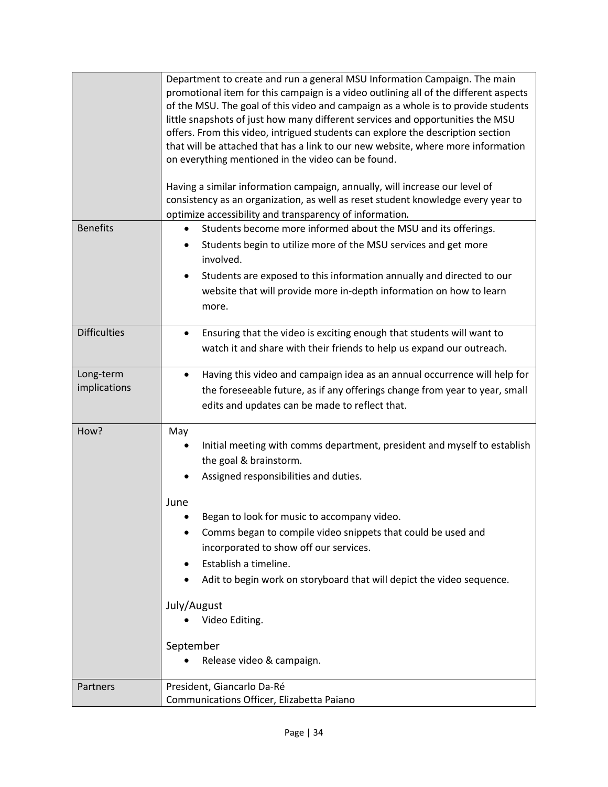|                           | Department to create and run a general MSU Information Campaign. The main<br>promotional item for this campaign is a video outlining all of the different aspects<br>of the MSU. The goal of this video and campaign as a whole is to provide students<br>little snapshots of just how many different services and opportunities the MSU<br>offers. From this video, intrigued students can explore the description section<br>that will be attached that has a link to our new website, where more information<br>on everything mentioned in the video can be found.<br>Having a similar information campaign, annually, will increase our level of<br>consistency as an organization, as well as reset student knowledge every year to<br>optimize accessibility and transparency of information. |
|---------------------------|-----------------------------------------------------------------------------------------------------------------------------------------------------------------------------------------------------------------------------------------------------------------------------------------------------------------------------------------------------------------------------------------------------------------------------------------------------------------------------------------------------------------------------------------------------------------------------------------------------------------------------------------------------------------------------------------------------------------------------------------------------------------------------------------------------|
| <b>Benefits</b>           | Students become more informed about the MSU and its offerings.<br>$\bullet$                                                                                                                                                                                                                                                                                                                                                                                                                                                                                                                                                                                                                                                                                                                         |
|                           | Students begin to utilize more of the MSU services and get more                                                                                                                                                                                                                                                                                                                                                                                                                                                                                                                                                                                                                                                                                                                                     |
|                           | involved.                                                                                                                                                                                                                                                                                                                                                                                                                                                                                                                                                                                                                                                                                                                                                                                           |
|                           | Students are exposed to this information annually and directed to our<br>٠                                                                                                                                                                                                                                                                                                                                                                                                                                                                                                                                                                                                                                                                                                                          |
|                           | website that will provide more in-depth information on how to learn                                                                                                                                                                                                                                                                                                                                                                                                                                                                                                                                                                                                                                                                                                                                 |
|                           | more.                                                                                                                                                                                                                                                                                                                                                                                                                                                                                                                                                                                                                                                                                                                                                                                               |
| <b>Difficulties</b>       | Ensuring that the video is exciting enough that students will want to<br>٠                                                                                                                                                                                                                                                                                                                                                                                                                                                                                                                                                                                                                                                                                                                          |
|                           | watch it and share with their friends to help us expand our outreach.                                                                                                                                                                                                                                                                                                                                                                                                                                                                                                                                                                                                                                                                                                                               |
|                           |                                                                                                                                                                                                                                                                                                                                                                                                                                                                                                                                                                                                                                                                                                                                                                                                     |
| Long-term<br>implications | Having this video and campaign idea as an annual occurrence will help for<br>$\bullet$<br>the foreseeable future, as if any offerings change from year to year, small                                                                                                                                                                                                                                                                                                                                                                                                                                                                                                                                                                                                                               |
|                           | edits and updates can be made to reflect that.                                                                                                                                                                                                                                                                                                                                                                                                                                                                                                                                                                                                                                                                                                                                                      |
|                           |                                                                                                                                                                                                                                                                                                                                                                                                                                                                                                                                                                                                                                                                                                                                                                                                     |
| How?                      | May                                                                                                                                                                                                                                                                                                                                                                                                                                                                                                                                                                                                                                                                                                                                                                                                 |
|                           | Initial meeting with comms department, president and myself to establish                                                                                                                                                                                                                                                                                                                                                                                                                                                                                                                                                                                                                                                                                                                            |
|                           | the goal & brainstorm.<br>Assigned responsibilities and duties.                                                                                                                                                                                                                                                                                                                                                                                                                                                                                                                                                                                                                                                                                                                                     |
|                           |                                                                                                                                                                                                                                                                                                                                                                                                                                                                                                                                                                                                                                                                                                                                                                                                     |
|                           | June                                                                                                                                                                                                                                                                                                                                                                                                                                                                                                                                                                                                                                                                                                                                                                                                |
|                           | Began to look for music to accompany video.                                                                                                                                                                                                                                                                                                                                                                                                                                                                                                                                                                                                                                                                                                                                                         |
|                           | Comms began to compile video snippets that could be used and<br>$\bullet$                                                                                                                                                                                                                                                                                                                                                                                                                                                                                                                                                                                                                                                                                                                           |
|                           | incorporated to show off our services.                                                                                                                                                                                                                                                                                                                                                                                                                                                                                                                                                                                                                                                                                                                                                              |
|                           | Establish a timeline.<br>٠                                                                                                                                                                                                                                                                                                                                                                                                                                                                                                                                                                                                                                                                                                                                                                          |
|                           | Adit to begin work on storyboard that will depict the video sequence.                                                                                                                                                                                                                                                                                                                                                                                                                                                                                                                                                                                                                                                                                                                               |
|                           | July/August                                                                                                                                                                                                                                                                                                                                                                                                                                                                                                                                                                                                                                                                                                                                                                                         |
|                           | Video Editing.                                                                                                                                                                                                                                                                                                                                                                                                                                                                                                                                                                                                                                                                                                                                                                                      |
|                           | September                                                                                                                                                                                                                                                                                                                                                                                                                                                                                                                                                                                                                                                                                                                                                                                           |
|                           | Release video & campaign.                                                                                                                                                                                                                                                                                                                                                                                                                                                                                                                                                                                                                                                                                                                                                                           |
|                           |                                                                                                                                                                                                                                                                                                                                                                                                                                                                                                                                                                                                                                                                                                                                                                                                     |
| <b>Partners</b>           | President, Giancarlo Da-Ré                                                                                                                                                                                                                                                                                                                                                                                                                                                                                                                                                                                                                                                                                                                                                                          |
|                           | Communications Officer, Elizabetta Paiano                                                                                                                                                                                                                                                                                                                                                                                                                                                                                                                                                                                                                                                                                                                                                           |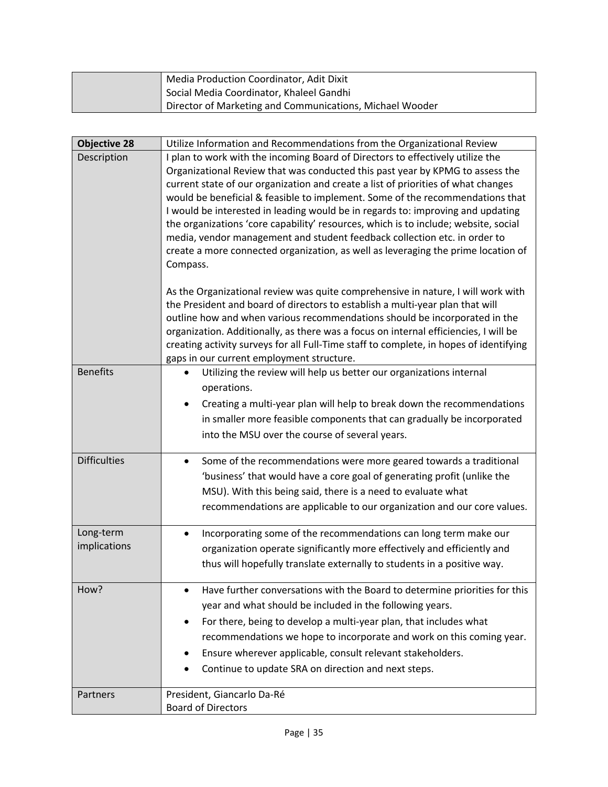| Media Production Coordinator, Adit Dixit                 |
|----------------------------------------------------------|
| Social Media Coordinator, Khaleel Gandhi                 |
| Director of Marketing and Communications, Michael Wooder |

| <b>Objective 28</b> | Utilize Information and Recommendations from the Organizational Review                                                                                          |
|---------------------|-----------------------------------------------------------------------------------------------------------------------------------------------------------------|
| Description         | I plan to work with the incoming Board of Directors to effectively utilize the<br>Organizational Review that was conducted this past year by KPMG to assess the |
|                     | current state of our organization and create a list of priorities of what changes                                                                               |
|                     | would be beneficial & feasible to implement. Some of the recommendations that                                                                                   |
|                     | I would be interested in leading would be in regards to: improving and updating                                                                                 |
|                     | the organizations 'core capability' resources, which is to include; website, social                                                                             |
|                     | media, vendor management and student feedback collection etc. in order to                                                                                       |
|                     | create a more connected organization, as well as leveraging the prime location of<br>Compass.                                                                   |
|                     |                                                                                                                                                                 |
|                     | As the Organizational review was quite comprehensive in nature, I will work with                                                                                |
|                     | the President and board of directors to establish a multi-year plan that will                                                                                   |
|                     | outline how and when various recommendations should be incorporated in the                                                                                      |
|                     | organization. Additionally, as there was a focus on internal efficiencies, I will be                                                                            |
|                     | creating activity surveys for all Full-Time staff to complete, in hopes of identifying<br>gaps in our current employment structure.                             |
| <b>Benefits</b>     | Utilizing the review will help us better our organizations internal<br>$\bullet$                                                                                |
|                     | operations.                                                                                                                                                     |
|                     | Creating a multi-year plan will help to break down the recommendations<br>$\bullet$                                                                             |
|                     | in smaller more feasible components that can gradually be incorporated                                                                                          |
|                     | into the MSU over the course of several years.                                                                                                                  |
|                     |                                                                                                                                                                 |
| <b>Difficulties</b> | Some of the recommendations were more geared towards a traditional<br>$\bullet$                                                                                 |
|                     | 'business' that would have a core goal of generating profit (unlike the                                                                                         |
|                     | MSU). With this being said, there is a need to evaluate what                                                                                                    |
|                     | recommendations are applicable to our organization and our core values.                                                                                         |
| Long-term           | Incorporating some of the recommendations can long term make our<br>$\bullet$                                                                                   |
| implications        | organization operate significantly more effectively and efficiently and                                                                                         |
|                     | thus will hopefully translate externally to students in a positive way.                                                                                         |
| How?                | Have further conversations with the Board to determine priorities for this<br>$\bullet$                                                                         |
|                     | year and what should be included in the following years.                                                                                                        |
|                     | For there, being to develop a multi-year plan, that includes what<br>$\bullet$                                                                                  |
|                     | recommendations we hope to incorporate and work on this coming year.                                                                                            |
|                     | Ensure wherever applicable, consult relevant stakeholders.<br>٠                                                                                                 |
|                     | Continue to update SRA on direction and next steps.                                                                                                             |
| Partners            | President, Giancarlo Da-Ré                                                                                                                                      |
|                     | <b>Board of Directors</b>                                                                                                                                       |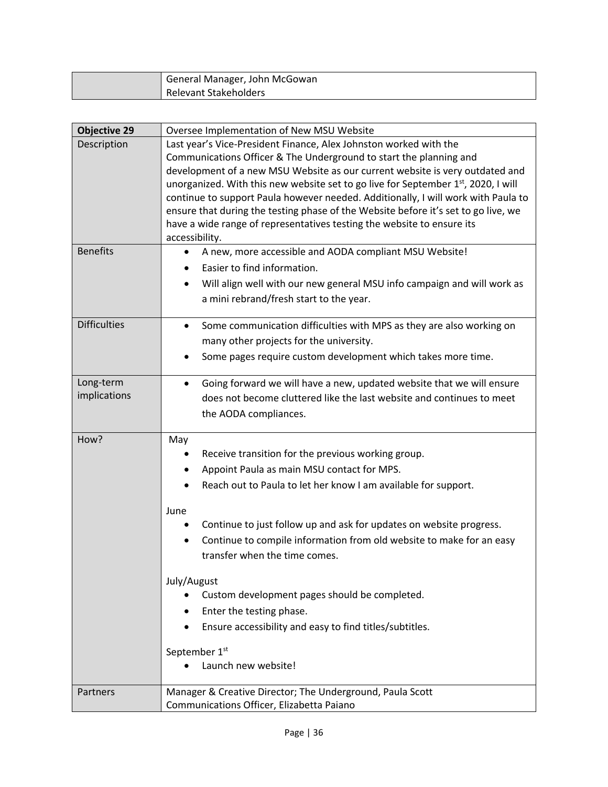| General Manager, John McGowan |
|-------------------------------|
| Relevant Stakeholders         |

| <b>Objective 29</b>       | Oversee Implementation of New MSU Website                                                                                                                   |
|---------------------------|-------------------------------------------------------------------------------------------------------------------------------------------------------------|
| Description               | Last year's Vice-President Finance, Alex Johnston worked with the                                                                                           |
|                           | Communications Officer & The Underground to start the planning and                                                                                          |
|                           | development of a new MSU Website as our current website is very outdated and                                                                                |
|                           | unorganized. With this new website set to go live for September 1st, 2020, I will                                                                           |
|                           | continue to support Paula however needed. Additionally, I will work with Paula to                                                                           |
|                           | ensure that during the testing phase of the Website before it's set to go live, we                                                                          |
|                           | have a wide range of representatives testing the website to ensure its<br>accessibility.                                                                    |
| <b>Benefits</b>           | A new, more accessible and AODA compliant MSU Website!<br>٠                                                                                                 |
|                           | Easier to find information.                                                                                                                                 |
|                           | Will align well with our new general MSU info campaign and will work as                                                                                     |
|                           | a mini rebrand/fresh start to the year.                                                                                                                     |
|                           |                                                                                                                                                             |
| <b>Difficulties</b>       | Some communication difficulties with MPS as they are also working on<br>٠                                                                                   |
|                           | many other projects for the university.                                                                                                                     |
|                           | Some pages require custom development which takes more time.                                                                                                |
|                           |                                                                                                                                                             |
| Long-term<br>implications | Going forward we will have a new, updated website that we will ensure<br>$\bullet$<br>does not become cluttered like the last website and continues to meet |
|                           |                                                                                                                                                             |
|                           | the AODA compliances.                                                                                                                                       |
| How?                      | May                                                                                                                                                         |
|                           | Receive transition for the previous working group.                                                                                                          |
|                           | Appoint Paula as main MSU contact for MPS.<br>٠                                                                                                             |
|                           | Reach out to Paula to let her know I am available for support.                                                                                              |
|                           |                                                                                                                                                             |
|                           | June<br>Continue to just follow up and ask for updates on website progress.                                                                                 |
|                           | Continue to compile information from old website to make for an easy<br>$\bullet$                                                                           |
|                           | transfer when the time comes.                                                                                                                               |
|                           |                                                                                                                                                             |
|                           | July/August                                                                                                                                                 |
|                           | Custom development pages should be completed.                                                                                                               |
|                           | Enter the testing phase.<br>$\bullet$                                                                                                                       |
|                           | Ensure accessibility and easy to find titles/subtitles.<br>٠                                                                                                |
|                           | September 1st                                                                                                                                               |
|                           | Launch new website!                                                                                                                                         |
|                           |                                                                                                                                                             |
| Partners                  | Manager & Creative Director; The Underground, Paula Scott                                                                                                   |
|                           | Communications Officer, Elizabetta Paiano                                                                                                                   |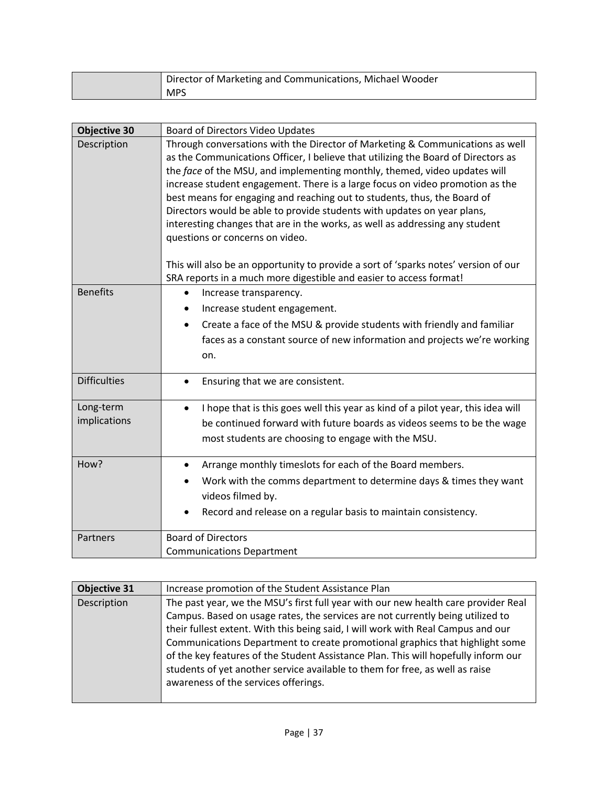| Director of Marketing and Communications, Michael Wooder |
|----------------------------------------------------------|
| <b>MPS</b>                                               |

| <b>Objective 30</b>       | Board of Directors Video Updates                                                                                                                                                                                                                                                                                                                                                                                                                                                                                                                                                                                                                                                                  |
|---------------------------|---------------------------------------------------------------------------------------------------------------------------------------------------------------------------------------------------------------------------------------------------------------------------------------------------------------------------------------------------------------------------------------------------------------------------------------------------------------------------------------------------------------------------------------------------------------------------------------------------------------------------------------------------------------------------------------------------|
| Description               | Through conversations with the Director of Marketing & Communications as well<br>as the Communications Officer, I believe that utilizing the Board of Directors as<br>the face of the MSU, and implementing monthly, themed, video updates will<br>increase student engagement. There is a large focus on video promotion as the<br>best means for engaging and reaching out to students, thus, the Board of<br>Directors would be able to provide students with updates on year plans,<br>interesting changes that are in the works, as well as addressing any student<br>questions or concerns on video.<br>This will also be an opportunity to provide a sort of 'sparks notes' version of our |
| <b>Benefits</b>           | SRA reports in a much more digestible and easier to access format!<br>Increase transparency.<br>$\bullet$<br>Increase student engagement.<br>٠<br>Create a face of the MSU & provide students with friendly and familiar<br>$\bullet$<br>faces as a constant source of new information and projects we're working<br>on.                                                                                                                                                                                                                                                                                                                                                                          |
| <b>Difficulties</b>       | Ensuring that we are consistent.<br>$\bullet$                                                                                                                                                                                                                                                                                                                                                                                                                                                                                                                                                                                                                                                     |
| Long-term<br>implications | I hope that is this goes well this year as kind of a pilot year, this idea will<br>٠<br>be continued forward with future boards as videos seems to be the wage<br>most students are choosing to engage with the MSU.                                                                                                                                                                                                                                                                                                                                                                                                                                                                              |
| How?                      | Arrange monthly timeslots for each of the Board members.<br>$\bullet$<br>Work with the comms department to determine days & times they want<br>videos filmed by.<br>Record and release on a regular basis to maintain consistency.                                                                                                                                                                                                                                                                                                                                                                                                                                                                |
| Partners                  | <b>Board of Directors</b><br><b>Communications Department</b>                                                                                                                                                                                                                                                                                                                                                                                                                                                                                                                                                                                                                                     |

| <b>Objective 31</b> | Increase promotion of the Student Assistance Plan                                                                                                                                                                                                                                                                                        |
|---------------------|------------------------------------------------------------------------------------------------------------------------------------------------------------------------------------------------------------------------------------------------------------------------------------------------------------------------------------------|
| Description         | The past year, we the MSU's first full year with our new health care provider Real<br>Campus. Based on usage rates, the services are not currently being utilized to<br>their fullest extent. With this being said, I will work with Real Campus and our<br>Communications Department to create promotional graphics that highlight some |
|                     | of the key features of the Student Assistance Plan. This will hopefully inform our<br>students of yet another service available to them for free, as well as raise<br>awareness of the services offerings.                                                                                                                               |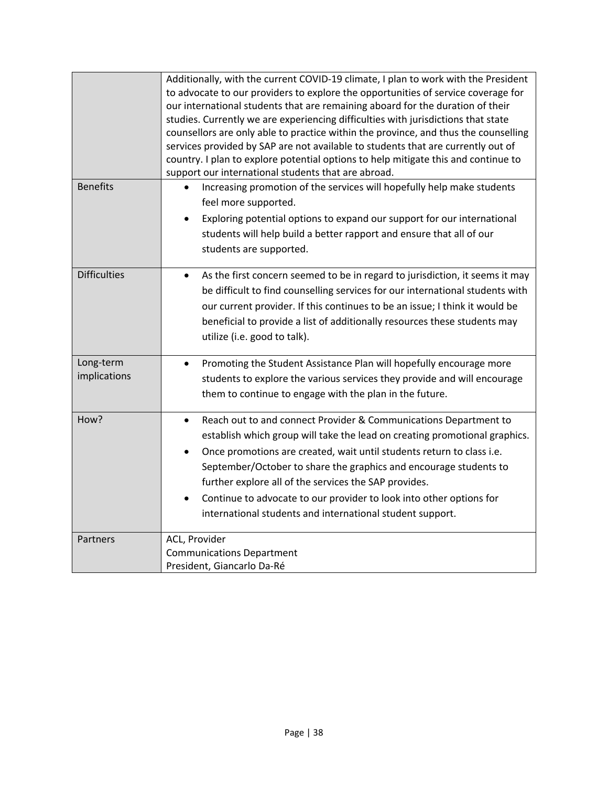|                           | Additionally, with the current COVID-19 climate, I plan to work with the President<br>to advocate to our providers to explore the opportunities of service coverage for<br>our international students that are remaining aboard for the duration of their<br>studies. Currently we are experiencing difficulties with jurisdictions that state<br>counsellors are only able to practice within the province, and thus the counselling<br>services provided by SAP are not available to students that are currently out of<br>country. I plan to explore potential options to help mitigate this and continue to<br>support our international students that are abroad. |
|---------------------------|------------------------------------------------------------------------------------------------------------------------------------------------------------------------------------------------------------------------------------------------------------------------------------------------------------------------------------------------------------------------------------------------------------------------------------------------------------------------------------------------------------------------------------------------------------------------------------------------------------------------------------------------------------------------|
| <b>Benefits</b>           | Increasing promotion of the services will hopefully help make students<br>feel more supported.<br>Exploring potential options to expand our support for our international<br>students will help build a better rapport and ensure that all of our<br>students are supported.                                                                                                                                                                                                                                                                                                                                                                                           |
| <b>Difficulties</b>       | As the first concern seemed to be in regard to jurisdiction, it seems it may<br>$\bullet$<br>be difficult to find counselling services for our international students with<br>our current provider. If this continues to be an issue; I think it would be<br>beneficial to provide a list of additionally resources these students may<br>utilize (i.e. good to talk).                                                                                                                                                                                                                                                                                                 |
| Long-term<br>implications | Promoting the Student Assistance Plan will hopefully encourage more<br>$\bullet$<br>students to explore the various services they provide and will encourage<br>them to continue to engage with the plan in the future.                                                                                                                                                                                                                                                                                                                                                                                                                                                |
| How?                      | Reach out to and connect Provider & Communications Department to<br>$\bullet$<br>establish which group will take the lead on creating promotional graphics.<br>Once promotions are created, wait until students return to class i.e.<br>$\bullet$<br>September/October to share the graphics and encourage students to<br>further explore all of the services the SAP provides.<br>Continue to advocate to our provider to look into other options for<br>international students and international student support.                                                                                                                                                    |
| Partners                  | ACL, Provider<br><b>Communications Department</b><br>President, Giancarlo Da-Ré                                                                                                                                                                                                                                                                                                                                                                                                                                                                                                                                                                                        |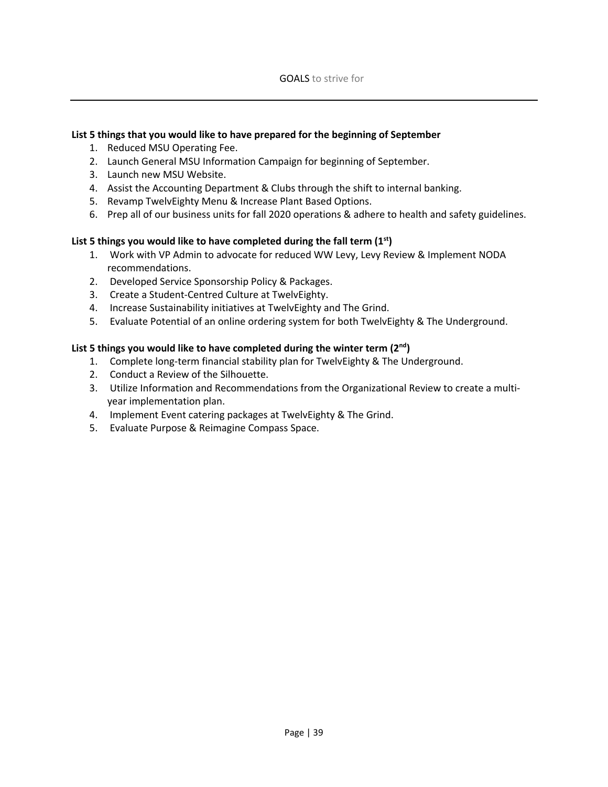#### **List 5 things that you would like to have prepared for the beginning of September**

- 1. Reduced MSU Operating Fee.
- 2. Launch General MSU Information Campaign for beginning of September.
- 3. Launch new MSU Website.
- 4. Assist the Accounting Department & Clubs through the shift to internal banking.
- 5. Revamp TwelvEighty Menu & Increase Plant Based Options.
- 6. Prep all of our business units for fall 2020 operations & adhere to health and safety guidelines.

#### **List 5 things you would like to have completed during the fall term (1st)**

- 1. Work with VP Admin to advocate for reduced WW Levy, Levy Review & Implement NODA recommendations.
- 2. Developed Service Sponsorship Policy & Packages.
- 3. Create a Student-Centred Culture at TwelvEighty.
- 4. Increase Sustainability initiatives at TwelvEighty and The Grind.
- 5. Evaluate Potential of an online ordering system for both TwelvEighty & The Underground.

#### **List 5 things you would like to have completed during the winter term (2nd)**

- 1. Complete long-term financial stability plan for TwelvEighty & The Underground.
- 2. Conduct a Review of the Silhouette.
- 3. Utilize Information and Recommendations from the Organizational Review to create a multiyear implementation plan.
- 4. Implement Event catering packages at TwelvEighty & The Grind.
- 5. Evaluate Purpose & Reimagine Compass Space.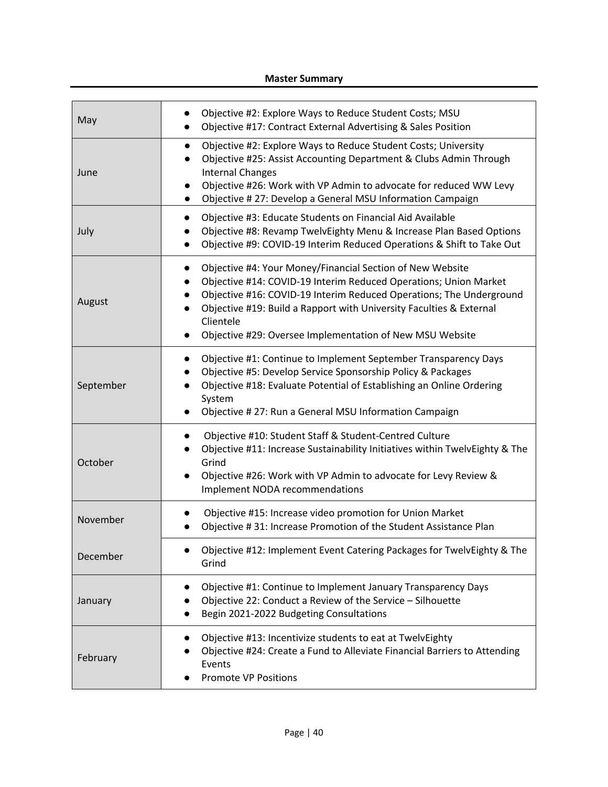#### **Master Summary**

| May       | Objective #2: Explore Ways to Reduce Student Costs; MSU<br>Objective #17: Contract External Advertising & Sales Position                                                                                                                                                                                                                             |
|-----------|------------------------------------------------------------------------------------------------------------------------------------------------------------------------------------------------------------------------------------------------------------------------------------------------------------------------------------------------------|
| June      | Objective #2: Explore Ways to Reduce Student Costs; University<br>Objective #25: Assist Accounting Department & Clubs Admin Through<br><b>Internal Changes</b><br>Objective #26: Work with VP Admin to advocate for reduced WW Levy<br>Objective #27: Develop a General MSU Information Campaign                                                     |
| July      | Objective #3: Educate Students on Financial Aid Available<br>Objective #8: Revamp TwelvEighty Menu & Increase Plan Based Options<br>Objective #9: COVID-19 Interim Reduced Operations & Shift to Take Out                                                                                                                                            |
| August    | Objective #4: Your Money/Financial Section of New Website<br>Objective #14: COVID-19 Interim Reduced Operations; Union Market<br>Objective #16: COVID-19 Interim Reduced Operations; The Underground<br>Objective #19: Build a Rapport with University Faculties & External<br>Clientele<br>Objective #29: Oversee Implementation of New MSU Website |
| September | Objective #1: Continue to Implement September Transparency Days<br>Objective #5: Develop Service Sponsorship Policy & Packages<br>Objective #18: Evaluate Potential of Establishing an Online Ordering<br>System<br>Objective #27: Run a General MSU Information Campaign                                                                            |
| October   | Objective #10: Student Staff & Student-Centred Culture<br>Objective #11: Increase Sustainability Initiatives within TwelvEighty & The<br>Grind<br>Objective #26: Work with VP Admin to advocate for Levy Review &<br>Implement NODA recommendations                                                                                                  |
| November  | Objective #15: Increase video promotion for Union Market<br>Objective #31: Increase Promotion of the Student Assistance Plan                                                                                                                                                                                                                         |
| December  | Objective #12: Implement Event Catering Packages for TwelvEighty & The<br>Grind                                                                                                                                                                                                                                                                      |
| January   | Objective #1: Continue to Implement January Transparency Days<br>Objective 22: Conduct a Review of the Service - Silhouette<br>Begin 2021-2022 Budgeting Consultations                                                                                                                                                                               |
| February  | Objective #13: Incentivize students to eat at TwelvEighty<br>Objective #24: Create a Fund to Alleviate Financial Barriers to Attending<br>Events<br><b>Promote VP Positions</b>                                                                                                                                                                      |